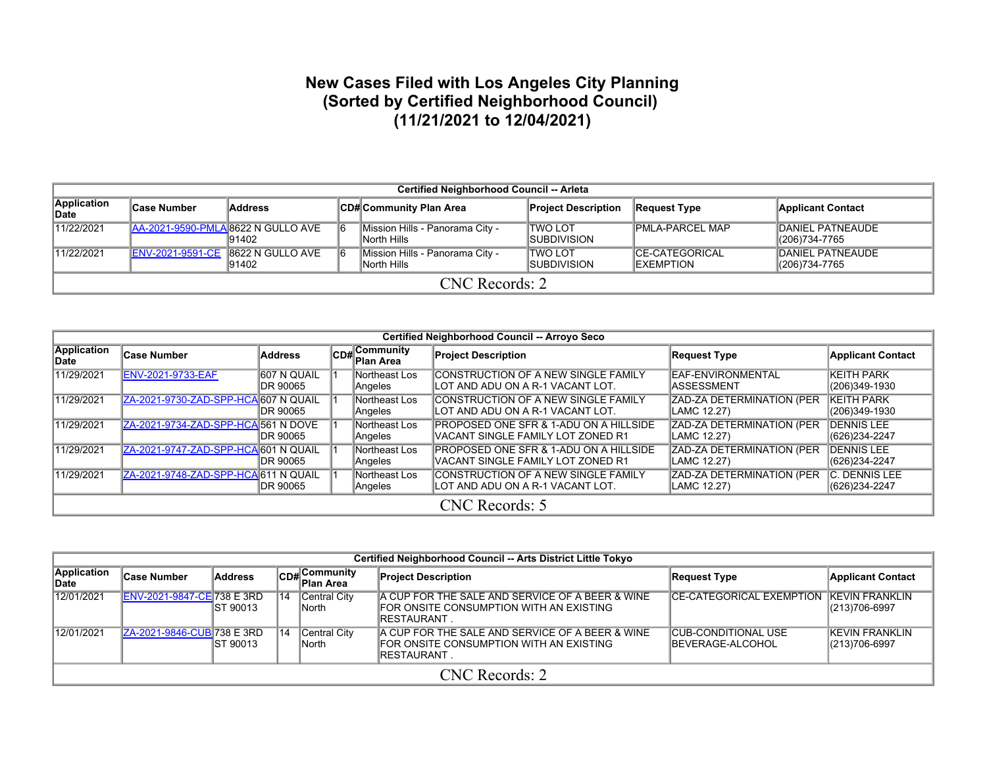## **New Cases Filed with Los Angeles City Planning (Sorted by Certified Neighborhood Council) (11/21/2021 to 12/04/2021)**

|                      | <b>Certified Neighborhood Council -- Arleta</b> |                                              |  |                                                |                                       |                                             |                                          |  |  |  |  |  |  |
|----------------------|-------------------------------------------------|----------------------------------------------|--|------------------------------------------------|---------------------------------------|---------------------------------------------|------------------------------------------|--|--|--|--|--|--|
| Application<br>∣Date | <b>Case Number</b>                              | Address                                      |  | ∣CD#∣Community Plan Area                       | <b>Project Description</b>            | <b>Request Type</b>                         | <b>Applicant Contact</b>                 |  |  |  |  |  |  |
| 11/22/2021           |                                                 | AA-2021-9590-PMLA 8622 N GULLO AVE<br>191402 |  | Mission Hills - Panorama City -<br>North Hills | ITWO LOT<br><b>ISUBDIVISION</b>       | <b>PMLA-PARCEL MAP</b>                      | <b>DANIEL PATNEAUDE</b><br>(206)734-7765 |  |  |  |  |  |  |
| 11/22/2021           | <b>ENV-2021-9591-CE</b>                         | 8622 N GULLO AVE<br>91402                    |  | Mission Hills - Panorama City -<br>North Hills | <b>TWO LOT</b><br><b>ISUBDIVISION</b> | <b>ICE-CATEGORICAL</b><br><b>IEXEMPTION</b> | <b>DANIEL PATNEAUDE</b><br>(206)734-7765 |  |  |  |  |  |  |
|                      | CNC Records: 2                                  |                                              |  |                                                |                                       |                                             |                                          |  |  |  |  |  |  |

|                      | Certified Neighborhood Council -- Arroyo Seco |                          |  |                                |                                                                                         |                                                 |                                       |  |  |  |  |  |
|----------------------|-----------------------------------------------|--------------------------|--|--------------------------------|-----------------------------------------------------------------------------------------|-------------------------------------------------|---------------------------------------|--|--|--|--|--|
| Application<br>∣Date | Case Number                                   | <b>Address</b>           |  | $ CDH $ Community<br>Plan Area | <b>Project Description</b>                                                              | <b>Request Type</b>                             | <b>Applicant Contact</b>              |  |  |  |  |  |
| 11/29/2021           | <b>ENV-2021-9733-EAF</b>                      | 1607 N QUAIL<br>DR 90065 |  | Northeast Los<br>Angeles       | CONSTRUCTION OF A NEW SINGLE FAMILY<br>ILOT AND ADU ON A R-1 VACANT LOT.                | EAF-ENVIRONMENTAL<br>IASSESSMENT                | <b>KEITH PARK</b><br>(206)349-1930    |  |  |  |  |  |
| 11/29/2021           | ZA-2021-9730-ZAD-SPP-HCA 607 N QUAIL          | DR 90065                 |  | Northeast Los<br>Angeles       | CONSTRUCTION OF A NEW SINGLE FAMILY<br>ILOT AND ADU ON A R-1 VACANT LOT.                | <b>ZAD-ZA DETERMINATION (PER</b><br>LAMC 12.27) | <b>KEITH PARK</b><br>(206)349-1930    |  |  |  |  |  |
| 11/29/2021           | ZA-2021-9734-ZAD-SPP-HCA 561 N DOVE           | DR 90065                 |  | Northeast Los<br>Angeles       | <b>PROPOSED ONE SFR &amp; 1-ADU ON A HILLSIDE</b><br>IVACANT SINGLE FAMILY LOT ZONED R1 | <b>ZAD-ZA DETERMINATION (PER</b><br>LAMC 12.27) | <b>IDENNIS LEE</b><br>(626)234-2247   |  |  |  |  |  |
| 11/29/2021           | ZA-2021-9747-ZAD-SPP-HCA 601 N QUAIL          | DR 90065                 |  | Northeast Los<br>Angeles       | <b>PROPOSED ONE SFR &amp; 1-ADU ON A HILLSIDE</b><br>IVACANT SINGLE FAMILY LOT ZONED R1 | <b>ZAD-ZA DETERMINATION (PER</b><br>LAMC 12.27) | <b>IDENNIS LEE</b><br>(626)234-2247   |  |  |  |  |  |
| 11/29/2021           | ZA-2021-9748-ZAD-SPP-HCA 611 N QUAIL          | DR 90065                 |  | Northeast Los<br>Angeles       | CONSTRUCTION OF A NEW SINGLE FAMILY<br>ILOT AND ADU ON A R-1 VACANT LOT.                | <b>ZAD-ZA DETERMINATION (PER</b><br>LAMC 12.27) | <b>C. DENNIS LEE</b><br>(626)234-2247 |  |  |  |  |  |
|                      | CNC Records: 5                                |                          |  |                                |                                                                                         |                                                 |                                       |  |  |  |  |  |

|                      | Certified Neighborhood Council -- Arts District Little Tokyo |           |    |                               |                                                                                                                  |                                                        |                                            |  |  |  |  |  |
|----------------------|--------------------------------------------------------------|-----------|----|-------------------------------|------------------------------------------------------------------------------------------------------------------|--------------------------------------------------------|--------------------------------------------|--|--|--|--|--|
| Application<br>∣Date | ∣Case Number                                                 | Address   |    | CD#Community<br>Plan Area     | <b>Project Description</b>                                                                                       | <b>Request Type</b>                                    | <b>Applicant Contact</b>                   |  |  |  |  |  |
| 12/01/2021           | <b>ENV-2021-9847-CE738 E 3RD</b>                             | IST 90013 | 14 | Central City<br><b>INorth</b> | A CUP FOR THE SALE AND SERVICE OF A BEER & WINE<br>FOR ONSITE CONSUMPTION WITH AN EXISTING<br><b>IRESTAURANT</b> | <b>CE-CATEGORICAL EXEMPTION KEVIN FRANKLIN</b>         | $ (213)706-6997$                           |  |  |  |  |  |
| 12/01/2021           | ZA-2021-9846-CUB 738 E 3RD                                   | IST 90013 | 14 | Central City<br>∥North        | A CUP FOR THE SALE AND SERVICE OF A BEER & WINE<br>FOR ONSITE CONSUMPTION WITH AN EXISTING<br>IRESTAURANT        | <b>CUB-CONDITIONAL USE</b><br><b>IBEVERAGE-ALCOHOL</b> | <b>IKEVIN FRANKLIN</b><br>$ (213)706-6997$ |  |  |  |  |  |
|                      | CNC Records: 2                                               |           |    |                               |                                                                                                                  |                                                        |                                            |  |  |  |  |  |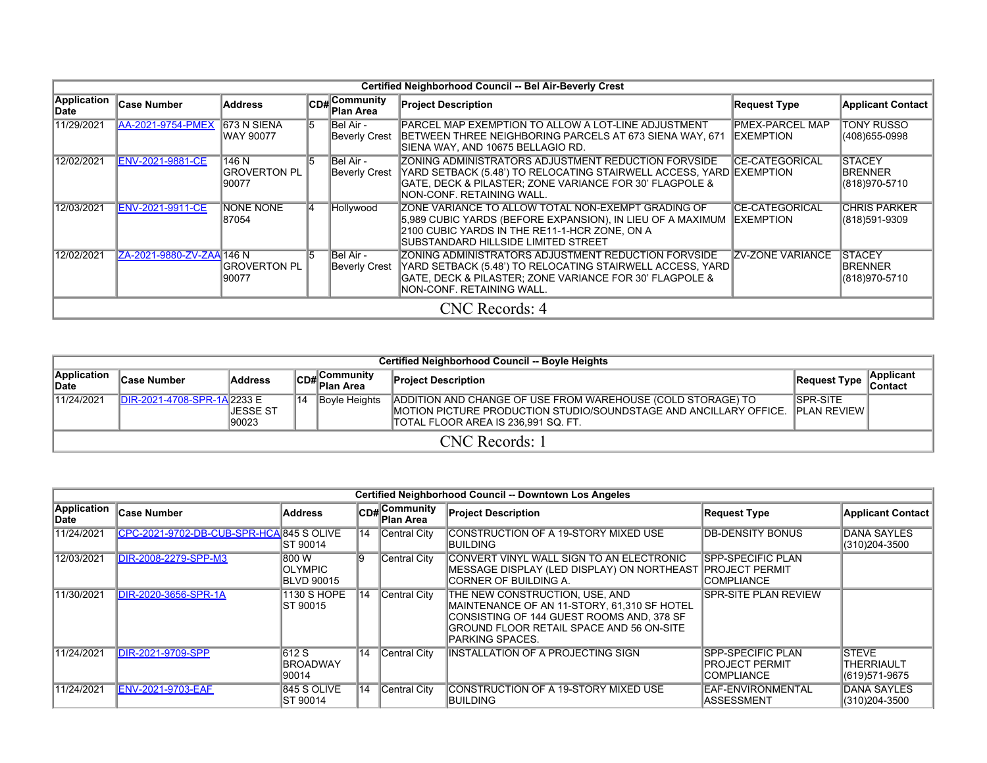|                      | Certified Neighborhood Council -- Bel Air-Beverly Crest |                                 |     |                             |                                                                                                                                                                                                                     |                                             |                                                   |  |  |  |  |  |  |
|----------------------|---------------------------------------------------------|---------------------------------|-----|-----------------------------|---------------------------------------------------------------------------------------------------------------------------------------------------------------------------------------------------------------------|---------------------------------------------|---------------------------------------------------|--|--|--|--|--|--|
| Application<br>∣Date | <b>Case Number</b>                                      | <b>Address</b>                  |     | CD#Community<br>∣Plan Area  | <b>Project Description</b>                                                                                                                                                                                          | <b>Request Type</b>                         | <b>Applicant Contact</b>                          |  |  |  |  |  |  |
| 11/29/2021           | AA-2021-9754-PMEX                                       | 673 N SIENA<br>WAY 90077        | 15  | Bel Air -<br>Beverly Crest  | IPARCEL MAP EXEMPTION TO ALLOW A LOT-LINE ADJUSTMENT<br>BETWEEN THREE NEIGHBORING PARCELS AT 673 SIENA WAY, 671<br>SIENA WAY, AND 10675 BELLAGIO RD.                                                                | <b>PMEX-PARCEL MAP</b><br><b>IEXEMPTION</b> | <b>TONY RUSSO</b><br>(408) 655-0998               |  |  |  |  |  |  |
| 12/02/2021           | <b>ENV-2021-9881-CE</b>                                 | 146 N<br>IGROVERTON PL<br>90077 | 15. | ∥Bel Air -<br>Beverly Crest | IZONING ADMINISTRATORS ADJUSTMENT REDUCTION FORVSIDE<br>YARD SETBACK (5.48') TO RELOCATING STAIRWELL ACCESS, YARD EXEMPTION<br>GATE, DECK & PILASTER; ZONE VARIANCE FOR 30' FLAGPOLE &<br>NON-CONF. RETAINING WALL. | <b>CE-CATEGORICAL</b>                       | <b>STACEY</b><br><b>BRENNER</b><br>(818)970-5710  |  |  |  |  |  |  |
| 12/03/2021           | <b>ENV-2021-9911-CE</b>                                 | NONE NONE<br>87054              | 14  | Hollywood                   | IZONE VARIANCE TO ALLOW TOTAL NON-EXEMPT GRADING OF<br>5.989 CUBIC YARDS (BEFORE EXPANSION), IN LIEU OF A MAXIMUM<br>2100 CUBIC YARDS IN THE RE11-1-HCR ZONE, ON A<br>ISUBSTANDARD HILLSIDE LIMITED STREET          | ICE-CATEGORICAL<br><b>IEXEMPTION</b>        | <b>CHRIS PARKER</b><br>(818)591-9309              |  |  |  |  |  |  |
| 12/02/2021           | ZA-2021-9880-ZV-ZAA 146 N                               | IGROVERTON PL<br>190077         | 15. | Bel Air -<br>Beverly Crest  | ZONING ADMINISTRATORS ADJUSTMENT REDUCTION FORVSIDE<br>YARD SETBACK (5.48') TO RELOCATING STAIRWELL ACCESS, YARD<br>GATE, DECK & PILASTER; ZONE VARIANCE FOR 30' FLAGPOLE &<br>INON-CONF. RETAINING WALL.           | <b>ZV-ZONE VARIANCE</b>                     | <b>STACEY</b><br><b>BRENNER</b><br>(818) 970-5710 |  |  |  |  |  |  |
|                      |                                                         |                                 |     |                             | CNC Records: 4                                                                                                                                                                                                      |                                             |                                                   |  |  |  |  |  |  |

|                      | Certified Neighborhood Council -- Boyle Heights |                     |    |                                     |                                                                                                                                                                           |                                        |                       |  |  |  |  |  |  |
|----------------------|-------------------------------------------------|---------------------|----|-------------------------------------|---------------------------------------------------------------------------------------------------------------------------------------------------------------------------|----------------------------------------|-----------------------|--|--|--|--|--|--|
| Application<br>∣Date | <b>Case Number</b>                              | <b>Address</b>      |    | ∣Community<br>lCD# C∿.<br>Plan Area | <b>Project Description</b>                                                                                                                                                | Request Type                           | Applicant<br>∣Contact |  |  |  |  |  |  |
| 11/24/2021           | IDIR-2021-4708-SPR-1A 2233 E                    | IJESSE ST<br>190023 | 14 | Boyle Heights                       | ADDITION AND CHANGE OF USE FROM WAREHOUSE (COLD STORAGE) TO<br>IMOTION PICTURE PRODUCTION STUDIO/SOUNDSTAGE AND ANCILLARY OFFICE.<br>ITOTAL FLOOR AREA IS 236.991 SQ. FT. | <b>ISPR-SITE</b><br><b>PLAN REVIEW</b> |                       |  |  |  |  |  |  |
|                      | CNC Records: 1                                  |                     |    |                                     |                                                                                                                                                                           |                                        |                       |  |  |  |  |  |  |

|                      |                                          |                                              |    |                                | Certified Neighborhood Council -- Downtown Los Angeles                                                                                                                                    |                                                                 |                                                     |
|----------------------|------------------------------------------|----------------------------------------------|----|--------------------------------|-------------------------------------------------------------------------------------------------------------------------------------------------------------------------------------------|-----------------------------------------------------------------|-----------------------------------------------------|
| Application<br>∣Date | Case Number                              | <b>Address</b>                               |    | $ CD#$ Community<br>∣Plan Area | <b>Project Description</b>                                                                                                                                                                | <b>Request Type</b>                                             | <b>Applicant Contact</b>                            |
| 11/24/2021           | CPC-2021-9702-DB-CUB-SPR-HCA 845 S OLIVE | IST 90014                                    | 14 | Central City                   | CONSTRUCTION OF A 19-STORY MIXED USE<br>IBUILDING                                                                                                                                         | <b>DB-DENSITY BONUS</b>                                         | <b>DANA SAYLES</b><br>(310)204-3500                 |
| 12/03/2021           | DIR-2008-2279-SPP-M3                     | 800 W<br><b>OLYMPIC</b><br><b>BLVD 90015</b> | 19 | Central City                   | CONVERT VINYL WALL SIGN TO AN ELECTRONIC<br>IMESSAGE DISPLAY (LED DISPLAY) ON NORTHEAST  PROJECT PERMIT<br>ICORNER OF BUILDING A.                                                         | <b>SPP-SPECIFIC PLAN</b><br><b>COMPLIANCE</b>                   |                                                     |
| 11/30/2021           | DIR-2020-3656-SPR-1A                     | 1130 S HOPE<br>IST 90015                     | 14 | Central City                   | THE NEW CONSTRUCTION, USE, AND<br>MAINTENANCE OF AN 11-STORY, 61,310 SF HOTEL<br>CONSISTING OF 144 GUEST ROOMS AND. 378 SF<br>GROUND FLOOR RETAIL SPACE AND 56 ON-SITE<br>PARKING SPACES. | <b>SPR-SITE PLAN REVIEW</b>                                     |                                                     |
| 11/24/2021           | <b>DIR-2021-9709-SPP</b>                 | 612 S<br><b>BROADWAY</b><br>90014            | 14 | Central City                   | INSTALLATION OF A PROJECTING SIGN                                                                                                                                                         | <b>SPP-SPECIFIC PLAN</b><br>PROJECT PERMIT<br><b>COMPLIANCE</b> | <b>ISTEVE</b><br><b>THERRIAULT</b><br>(619)571-9675 |
| 11/24/2021           | <b>ENV-2021-9703-EAF</b>                 | 845 S OLIVE<br>IST 90014                     | 14 | Central City                   | CONSTRUCTION OF A 19-STORY MIXED USE<br><b>BUILDING</b>                                                                                                                                   | EAF-ENVIRONMENTAL<br><b>ASSESSMENT</b>                          | <b>DANA SAYLES</b><br>(310)204-3500                 |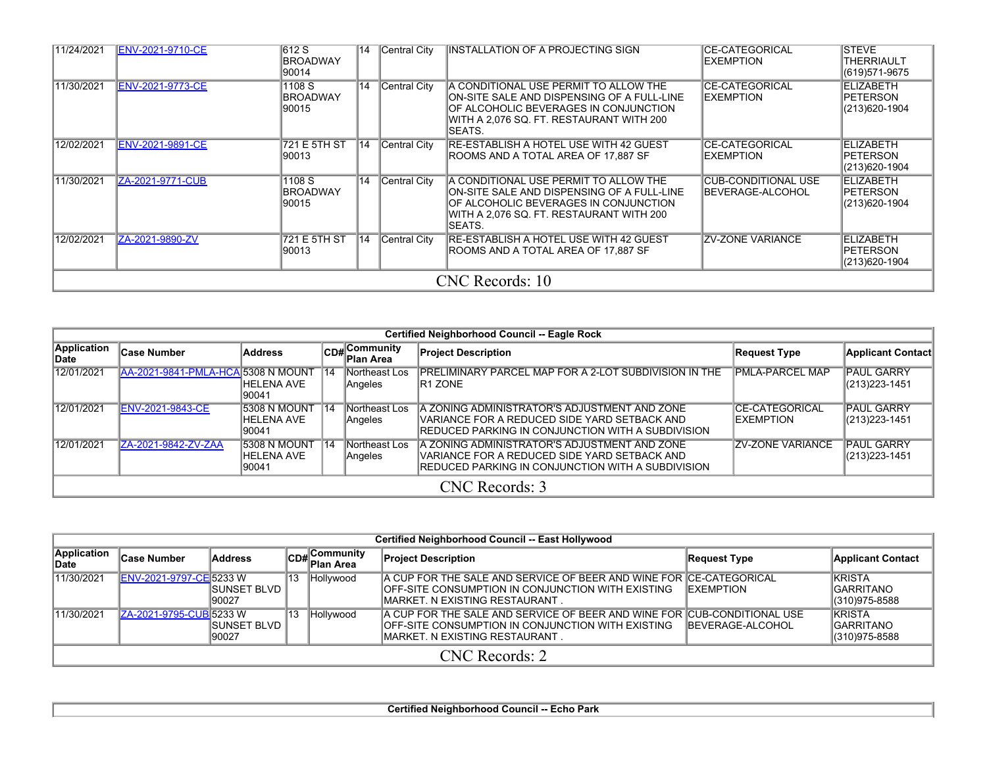| 11/24/2021 | <b>ENV-2021-9710-CE</b> | 612 S<br><b>BROADWAY</b><br>90014  | 14  | Central City | INSTALLATION OF A PROJECTING SIGN                                                                                                                                                    | <b>CE-CATEGORICAL</b><br><b>IEXEMPTION</b>     | <b>STEVE</b><br><b>THERRIAULT</b><br>(619)571-9675 |
|------------|-------------------------|------------------------------------|-----|--------------|--------------------------------------------------------------------------------------------------------------------------------------------------------------------------------------|------------------------------------------------|----------------------------------------------------|
| 11/30/2021 | ENV-2021-9773-CE        | 1108 S<br><b>BROADWAY</b><br>90015 | 14  | Central City | A CONDITIONAL USE PERMIT TO ALLOW THE<br>ON-SITE SALE AND DISPENSING OF A FULL-LINE<br>OF ALCOHOLIC BEVERAGES IN CONJUNCTION<br>WITH A 2,076 SQ. FT. RESTAURANT WITH 200<br>ISEATS.  | <b>ICE-CATEGORICAL</b><br><b>IEXEMPTION</b>    | ELIZABETH<br><b>IPETERSON</b><br>(213)620-1904     |
| 12/02/2021 | <b>ENV-2021-9891-CE</b> | 721 E 5TH ST<br>90013              | 14  | Central City | RE-ESTABLISH A HOTEL USE WITH 42 GUEST<br>ROOMS AND A TOTAL AREA OF 17,887 SF                                                                                                        | <b>CE-CATEGORICAL</b><br><b>IEXEMPTION</b>     | ELIZABETH<br><b>IPETERSON</b><br>(213)620-1904     |
| 11/30/2021 | ZA-2021-9771-CUB        | 1108 S<br><b>BROADWAY</b><br>90015 | 14  | Central City | A CONDITIONAL USE PERMIT TO ALLOW THE<br>ION-SITE SALE AND DISPENSING OF A FULL-LINE<br>OF ALCOHOLIC BEVERAGES IN CONJUNCTION<br>WITH A 2.076 SQ. FT. RESTAURANT WITH 200<br>ISEATS. | <b>CUB-CONDITIONAL USE</b><br>BEVERAGE-ALCOHOL | ELIZABETH<br><b>IPETERSON</b><br>(213)620-1904     |
| 12/02/2021 | ZA-2021-9890-ZV         | 721 E 5TH ST<br>90013              | ำ4ั | Central City | RE-ESTABLISH A HOTEL USE WITH 42 GUEST<br>ROOMS AND A TOTAL AREA OF 17.887 SF                                                                                                        | <b>ZV-ZONE VARIANCE</b>                        | ELIZABETH<br><b>IPETERSON</b><br>(213)620-1904     |
|            |                         |                                    |     |              | CNC Records: 10                                                                                                                                                                      |                                                |                                                    |

|                      | <b>Certified Neighborhood Council -- Eagle Rock</b> |                                                    |     |                            |                                                                                                                                                            |                                            |                                     |  |  |  |  |  |  |
|----------------------|-----------------------------------------------------|----------------------------------------------------|-----|----------------------------|------------------------------------------------------------------------------------------------------------------------------------------------------------|--------------------------------------------|-------------------------------------|--|--|--|--|--|--|
| Application<br>∣Date | Case Number                                         | <b>Address</b>                                     |     | CD# Community<br>Plan Area | <b>Project Description</b>                                                                                                                                 | Request Type                               | <b>Applicant Contact</b>            |  |  |  |  |  |  |
| 12/01/2021           | AA-2021-9841-PMLA-HCA 5308 N MOUNT                  | IHELENA AVE<br>190041                              | 14' | Northeast Los<br>Angeles   | <b>PRELIMINARY PARCEL MAP FOR A 2-LOT SUBDIVISION IN THE</b><br><b>IR1 ZONE</b>                                                                            | <b>PMLA-PARCEL MAP</b>                     | <b>PAUL GARRY</b><br>(213) 223-1451 |  |  |  |  |  |  |
| 12/01/2021           | ENV-2021-9843-CE                                    | 5308 N MOUNT<br>IHELENA AVE<br>190041              | 14  | Northeast Los<br>Angeles   | A ZONING ADMINISTRATOR'S ADJUSTMENT AND ZONE<br>IVARIANCE FOR A REDUCED SIDE YARD SETBACK AND<br><b>IREDUCED PARKING IN CONJUNCTION WITH A SUBDIVISION</b> | <b>CE-CATEGORICAL</b><br><b>IEXEMPTION</b> | <b>PAUL GARRY</b><br>(213) 223-1451 |  |  |  |  |  |  |
| 12/01/2021           | ZA-2021-9842-ZV-ZAA                                 | <b>5308 N MOUNT</b><br><b>HELENA AVE</b><br>190041 | 14  | Northeast Los<br>Angeles   | A ZONING ADMINISTRATOR'S ADJUSTMENT AND ZONE<br>IVARIANCE FOR A REDUCED SIDE YARD SETBACK AND<br><b>IREDUCED PARKING IN CONJUNCTION WITH A SUBDIVISION</b> | <b>ZV-ZONE VARIANCE</b>                    | <b>PAUL GARRY</b><br>(213) 223-1451 |  |  |  |  |  |  |
|                      | CNC Records: 3                                      |                                                    |     |                            |                                                                                                                                                            |                                            |                                     |  |  |  |  |  |  |

|                      | Certified Neighborhood Council -- East Hollywood |                         |    |                            |                                                                                                                                                                  |                          |                                                    |  |  |  |  |
|----------------------|--------------------------------------------------|-------------------------|----|----------------------------|------------------------------------------------------------------------------------------------------------------------------------------------------------------|--------------------------|----------------------------------------------------|--|--|--|--|
| Application<br>∣Date | ∣Case Number                                     | <b>Address</b>          |    | CD# Community<br>Plan Area | <b>Project Description</b>                                                                                                                                       | <b>Request Type</b>      | <b>Applicant Contact</b>                           |  |  |  |  |
| 11/30/2021           | ENV-2021-9797-CE 5233 W                          | ISUNSET BLVD I<br>90027 | 13 | Hollywood                  | A CUP FOR THE SALE AND SERVICE OF BEER AND WINE FOR ICE-CATEGORICAL<br>OFF-SITE CONSUMPTION IN CONJUNCTION WITH EXISTING<br>MARKET. N EXISTING RESTAURANT        | <b>IEXEMPTION</b>        | <b>KRISTA</b><br><b>GARRITANO</b><br>(310)975-8588 |  |  |  |  |
| 11/30/2021           | ZA-2021-9795-CUB 5233 W                          | ISUNSET BLVD I<br>90027 | 13 | Hollywood                  | IA CUP FOR THE SALE AND SERVICE OF BEER AND WINE FOR ICUB-CONDITIONAL USE<br>OFF-SITE CONSUMPTION IN CONJUNCTION WITH EXISTING<br>IMARKET. N EXISTING RESTAURANT | <b>IBEVERAGE-ALCOHOL</b> | <b>KRISTA</b><br><b>GARRITANO</b><br>(310)975-8588 |  |  |  |  |
|                      | CNC Records: 2                                   |                         |    |                            |                                                                                                                                                                  |                          |                                                    |  |  |  |  |

**Certified Neighborhood Council -- Echo Park**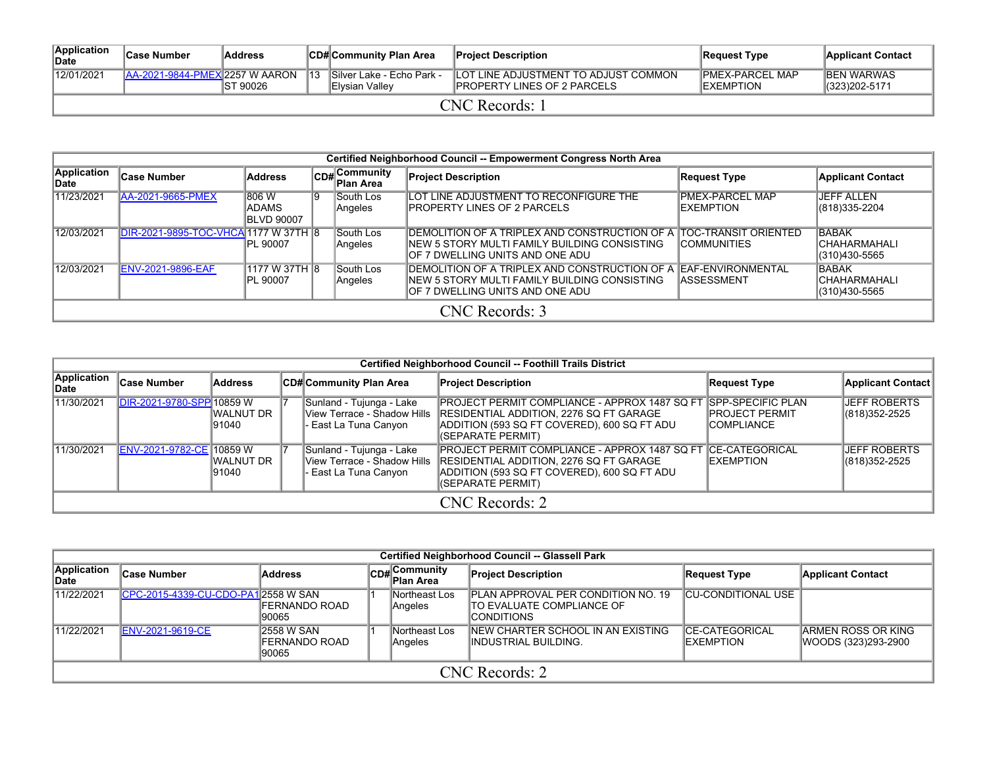| Application<br><b>IDate</b> | ∣Case Number                          | <b>Address</b> |                | CD# Community Plan Area                             | <b>Project Description</b>                                                  | Request Type                                 | <b>Applicant Contact</b>             |  |  |  |
|-----------------------------|---------------------------------------|----------------|----------------|-----------------------------------------------------|-----------------------------------------------------------------------------|----------------------------------------------|--------------------------------------|--|--|--|
| 12/01/2021                  | <b>AA-2021-9844-PMEX 2257 W AARON</b> | IST 90026      | $\parallel$ 13 | <b>Silver Lake - Echo Park -</b><br>IElvsian Vallev | LOT LINE ADJUSTMENT TO ADJUST COMMON<br><b>IPROPERTY LINES OF 2 PARCELS</b> | <b>IPMEX-PARCEL MAP</b><br><b>IEXEMPTION</b> | <b>IBEN WARWAS</b><br> (323)202-5171 |  |  |  |
| CNC Records: 1              |                                       |                |                |                                                     |                                                                             |                                              |                                      |  |  |  |

|                             | Certified Neighborhood Council -- Empowerment Congress North Area |                                              |     |                               |                                                                                                                                                          |                                             |                                                |  |  |  |  |  |
|-----------------------------|-------------------------------------------------------------------|----------------------------------------------|-----|-------------------------------|----------------------------------------------------------------------------------------------------------------------------------------------------------|---------------------------------------------|------------------------------------------------|--|--|--|--|--|
| <b>Application</b><br>∣Date | <b>Case Number</b>                                                | <b>Address</b>                               | CD# | Community<br><b>Plan Area</b> | <b>Project Description</b>                                                                                                                               | Request Type                                | <b>Applicant Contact</b>                       |  |  |  |  |  |
| 11/23/2021                  | AA-2021-9665-PMEX                                                 | 1806 W<br><b>ADAMS</b><br><b>IBLVD 90007</b> | 19  | South Los<br>Angeles          | LOT LINE ADJUSTMENT TO RECONFIGURE THE<br><b>IPROPERTY LINES OF 2 PARCELS</b>                                                                            | <b>PMEX-PARCEL MAP</b><br><b>IEXEMPTION</b> | IJEFF ALLEN<br>(818) 335-2204                  |  |  |  |  |  |
| 12/03/2021                  | DIR-2021-9895-TOC-VHCA 1177 W 37TH 8                              | IPL 90007                                    |     | South Los<br>Angeles          | IDEMOLITION OF A TRIPLEX AND CONSTRUCTION OF A TOC-TRANSIT ORIENTED<br>INEW 5 STORY MULTI FAMILY BUILDING CONSISTING<br>IOF 7 DWELLING UNITS AND ONE ADU | <b>ICOMMUNITIES</b>                         | <b>BABAK</b><br>ICHAHARMAHALI<br>(310)430-5565 |  |  |  |  |  |
| 12/03/2021                  | <b>ENV-2021-9896-EAF</b>                                          | 1177 W 37TH 8<br>IPL 90007                   |     | South Los<br>Angeles          | DEMOLITION OF A TRIPLEX AND CONSTRUCTION OF A EAF-ENVIRONMENTAL<br>INEW 5 STORY MULTI FAMILY BUILDING CONSISTING<br>IOF 7 DWELLING UNITS AND ONE ADU     | <b>IASSESSMENT</b>                          | <b>BABAK</b><br>ICHAHARMAHALI<br>(310)430-5565 |  |  |  |  |  |
|                             | CNC Records: 3                                                    |                                              |     |                               |                                                                                                                                                          |                                             |                                                |  |  |  |  |  |

|                       | <b>Certified Neighborhood Council -- Foothill Trails District</b> |                      |  |                                                                                  |                                                                                                                                                                                           |                                                                           |                                      |  |  |  |  |  |  |
|-----------------------|-------------------------------------------------------------------|----------------------|--|----------------------------------------------------------------------------------|-------------------------------------------------------------------------------------------------------------------------------------------------------------------------------------------|---------------------------------------------------------------------------|--------------------------------------|--|--|--|--|--|--|
| Application<br>lDate⊦ | <b>Case Number</b>                                                | Address              |  | ∣CD#∣Community Plan Area                                                         | <b>Project Description</b>                                                                                                                                                                | <b>Request Type</b>                                                       | Applicant Contact                    |  |  |  |  |  |  |
| 11/30/2021            | DIR-2021-9780-SPP 10859 W                                         | IWALNUT DR<br>191040 |  | Sunland - Tujunga - Lake<br>View Terrace - Shadow Hills<br>· East La Tuna Canyon | <b>PROJECT PERMIT COMPLIANCE - APPROX 1487 SQ FT</b><br><b>IRESIDENTIAL ADDITION. 2276 SQ FT GARAGE</b><br>ADDITION (593 SQ FT COVERED), 600 SQ FT ADU<br>(SEPARATE PERMIT)               | <b>ISPP-SPECIFIC PLAN</b><br><b>IPROJECT PERMIT</b><br><b>ICOMPLIANCE</b> | <b>JEFF ROBERTS</b><br>(818)352-2525 |  |  |  |  |  |  |
| 11/30/2021            | ENV-2021-9782-CE 10859 W                                          | IWALNUT DR<br>191040 |  | Sunland - Tujunga - Lake<br>View Terrace - Shadow Hills<br>· East La Tuna Canyon | <b>PROJECT PERMIT COMPLIANCE - APPROX 1487 SQ FT CE-CATEGORICAL</b><br><b>RESIDENTIAL ADDITION, 2276 SQ FT GARAGE</b><br>ADDITION (593 SQ FT COVERED), 600 SQ FT ADU<br>(SEPARATE PERMIT) | <b>IEXEMPTION</b>                                                         | <b>JEFF ROBERTS</b><br>(818)352-2525 |  |  |  |  |  |  |
|                       | CNC Records: 2                                                    |                      |  |                                                                                  |                                                                                                                                                                                           |                                                                           |                                      |  |  |  |  |  |  |

|                                                                                                                                                        | Certified Neighborhood Council -- Glassell Park                                                                                                                                                                                                                       |                         |  |                          |                                                                                                       |                     |  |  |  |  |  |  |  |  |
|--------------------------------------------------------------------------------------------------------------------------------------------------------|-----------------------------------------------------------------------------------------------------------------------------------------------------------------------------------------------------------------------------------------------------------------------|-------------------------|--|--------------------------|-------------------------------------------------------------------------------------------------------|---------------------|--|--|--|--|--|--|--|--|
| Application<br>CD#Community<br>Plan Area<br><b>Project Description</b><br>∣Case Number<br>Address<br><b>Applicant Contact</b><br>Request Type<br>∣Date |                                                                                                                                                                                                                                                                       |                         |  |                          |                                                                                                       |                     |  |  |  |  |  |  |  |  |
| 11/22/2021                                                                                                                                             | CPC-2015-4339-CU-CDO-PA1 2558 W SAN                                                                                                                                                                                                                                   | IFERNANDO ROAD<br>90065 |  | Northeast Los<br>Angeles | <b>IPLAN APPROVAL PER CONDITION NO. 19</b><br><b>ITO EVALUATE COMPLIANCE OF</b><br><b>ICONDITIONS</b> | ICU-CONDITIONAL USE |  |  |  |  |  |  |  |  |
| 11/22/2021                                                                                                                                             | <b>INEW CHARTER SCHOOL IN AN EXISTING</b><br><b>CE-CATEGORICAL</b><br><b>ARMEN ROSS OR KING</b><br><b>ENV-2021-9619-CE</b><br>12558 W SAN<br>Northeast Los<br>IFERNANDO ROAD<br>WOODS (323)293-2900<br>IINDUSTRIAL BUILDING.<br><b>IEXEMPTION</b><br>Angeles<br>90065 |                         |  |                          |                                                                                                       |                     |  |  |  |  |  |  |  |  |
|                                                                                                                                                        |                                                                                                                                                                                                                                                                       |                         |  |                          | CNC Records: 2                                                                                        |                     |  |  |  |  |  |  |  |  |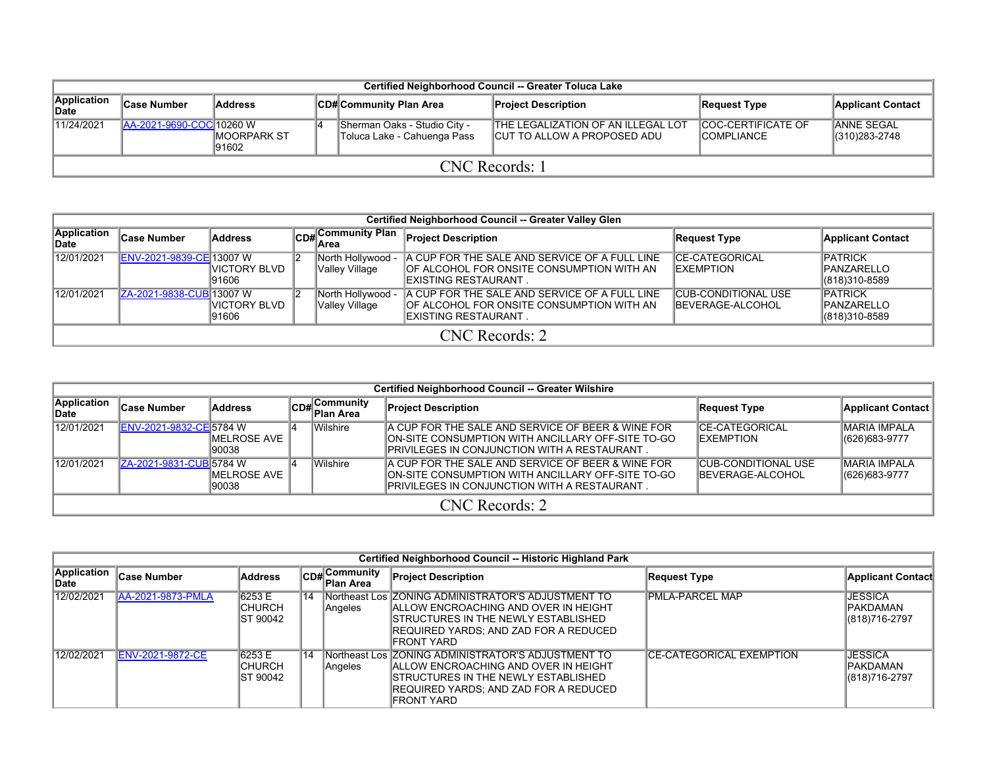| Certified Neighborhood Council -- Greater Toluca Lake                                                                                                        |                          |                               |  |                                                             |                                                                                  |                                                  |                                      |  |  |  |  |  |
|--------------------------------------------------------------------------------------------------------------------------------------------------------------|--------------------------|-------------------------------|--|-------------------------------------------------------------|----------------------------------------------------------------------------------|--------------------------------------------------|--------------------------------------|--|--|--|--|--|
| Application<br>∣Case Number<br>∣CD# Community Plan Area<br><b>Address</b><br><b>Applicant Contact</b><br><b>Project Description</b><br>Request Type<br>∥Date |                          |                               |  |                                                             |                                                                                  |                                                  |                                      |  |  |  |  |  |
| 11/24/2021                                                                                                                                                   | AA-2021-9690-COC 10260 W | <b>IMOORPARK ST</b><br>191602 |  | Sherman Oaks - Studio City -<br>Toluca Lake - Cahuenga Pass | <b>THE LEGALIZATION OF AN ILLEGAL LOT</b><br><b>ICUT TO ALLOW A PROPOSED ADU</b> | <b>ICOC-CERTIFICATE OF</b><br><b>ICOMPLIANCE</b> | <b>JANNE SEGAL</b><br>(310) 283-2748 |  |  |  |  |  |
|                                                                                                                                                              |                          |                               |  | CNC Records: 1                                              |                                                                                  |                                                  |                                      |  |  |  |  |  |

|                      | Certified Neighborhood Council -- Greater Valley Glen                                                                                                                                                                                                                                                                                          |                        |  |                                     |                                                                                                                           |                                             |                                                         |  |  |  |  |  |  |
|----------------------|------------------------------------------------------------------------------------------------------------------------------------------------------------------------------------------------------------------------------------------------------------------------------------------------------------------------------------------------|------------------------|--|-------------------------------------|---------------------------------------------------------------------------------------------------------------------------|---------------------------------------------|---------------------------------------------------------|--|--|--|--|--|--|
| Application<br>∥Date | <b>Case Number</b>                                                                                                                                                                                                                                                                                                                             | Address                |  | lArea                               | CD# Community Plan Project Description                                                                                    | Request Type                                | <b>Applicant Contact</b>                                |  |  |  |  |  |  |
| 12/01/2021           | <b>ENV-2021-9839-CE 13007 W</b>                                                                                                                                                                                                                                                                                                                | IVICTORY BLVD<br>91606 |  | North Hollywood -<br>Valley Village | A CUP FOR THE SALE AND SERVICE OF A FULL LINE<br>OF ALCOHOL FOR ONSITE CONSUMPTION WITH AN<br><b>IEXISTING RESTAURANT</b> | <b>ICE-CATEGORICAL</b><br><b>IEXEMPTION</b> | <b>IPATRICK</b><br><b>IPANZARELLO</b><br>(818) 310-8589 |  |  |  |  |  |  |
| 12/01/2021           | A CUP FOR THE SALE AND SERVICE OF A FULL LINE<br><b>CUB-CONDITIONAL USE</b><br><b>PATRICK</b><br><b>IZA-2021-9838-CUBI13007 W</b><br>North Hollywood -<br>OF ALCOHOL FOR ONSITE CONSUMPTION WITH AN<br><b>IBEVERAGE-ALCOHOL</b><br><b>IPANZARELLO</b><br>Valley Village<br>IVICTORY BLVD<br>$ (818)310-8589$<br>IEXISTING RESTAURANT.<br>91606 |                        |  |                                     |                                                                                                                           |                                             |                                                         |  |  |  |  |  |  |
|                      |                                                                                                                                                                                                                                                                                                                                                |                        |  |                                     | CNC Records: 2                                                                                                            |                                             |                                                         |  |  |  |  |  |  |

|                      | <b>Certified Neighborhood Council -- Greater Wilshire</b> |                        |  |                           |                                                                                                                                                           |                                                        |                                         |  |  |  |  |  |  |
|----------------------|-----------------------------------------------------------|------------------------|--|---------------------------|-----------------------------------------------------------------------------------------------------------------------------------------------------------|--------------------------------------------------------|-----------------------------------------|--|--|--|--|--|--|
| Application<br>∣Date | <b>Case Number</b>                                        | Address                |  | CD#Community<br>Plan Area | <b>Project Description</b>                                                                                                                                | Request Type                                           | Applicant Contact                       |  |  |  |  |  |  |
| 12/01/2021           | ENV-2021-9832-CE 5784 W                                   | IMELROSE AVE<br>190038 |  | Wilshire                  | A CUP FOR THE SALE AND SERVICE OF BEER & WINE FOR<br>ION-SITE CONSUMPTION WITH ANCILLARY OFF-SITE TO-GO<br>IPRIVILEGES IN CONJUNCTION WITH A RESTAURANT . | <b>ICE-CATEGORICAL</b><br><b>IEXEMPTION</b>            | <b>MARIA IMPALA</b><br>$ (626)683-9777$ |  |  |  |  |  |  |
| 12/01/2021           | ZA-2021-9831-CUB 5784 W                                   | IMELROSE AVE<br>190038 |  | Wilshire                  | A CUP FOR THE SALE AND SERVICE OF BEER & WINE FOR<br>ION-SITE CONSUMPTION WITH ANCILLARY OFF-SITE TO-GO<br>IPRIVILEGES IN CONJUNCTION WITH A RESTAURANT.  | <b>CUB-CONDITIONAL USE</b><br><b>IBEVERAGE-ALCOHOL</b> | <b>MARIA IMPALA</b><br>$ (626)683-9777$ |  |  |  |  |  |  |
|                      | CNC Records: 2                                            |                        |  |                           |                                                                                                                                                           |                                                        |                                         |  |  |  |  |  |  |

|                      | Certified Neighborhood Council -- Historic Highland Park |                                       |    |                           |                                                                                                                                                                                                     |                                  |                                                     |  |  |  |  |  |
|----------------------|----------------------------------------------------------|---------------------------------------|----|---------------------------|-----------------------------------------------------------------------------------------------------------------------------------------------------------------------------------------------------|----------------------------------|-----------------------------------------------------|--|--|--|--|--|
| Application<br>∣Date | <b>Case Number</b>                                       | <b>Address</b>                        |    | CD#Community<br>Plan Area | <b>Project Description</b>                                                                                                                                                                          | <b>Request Type</b>              | <b>Applicant Contact</b>                            |  |  |  |  |  |
| 12/02/2021           | AA-2021-9873-PMLA                                        | 6253 E<br><b>ICHURCH</b><br>IST 90042 | 14 | Angeles                   | Northeast Los ZONING ADMINISTRATOR'S ADJUSTMENT TO<br><b>IALLOW ENCROACHING AND OVER IN HEIGHT</b><br>ISTRUCTURES IN THE NEWLY ESTABLISHED<br>IREQUIRED YARDS: AND ZAD FOR A REDUCED<br>IFRONT YARD | <b>IPMLA-PARCEL MAP</b>          | <b>JESSICA</b><br><b>IPAKDAMAN</b><br>(818)716-2797 |  |  |  |  |  |
| 12/02/2021           | <b>ENV-2021-9872-CE</b>                                  | 6253 E<br>ICHURCH<br>IST 90042        | 14 | Angeles                   | Northeast Los ZONING ADMINISTRATOR'S ADJUSTMENT TO<br><b>IALLOW ENCROACHING AND OVER IN HEIGHT</b><br>ISTRUCTURES IN THE NEWLY ESTABLISHED<br>IREQUIRED YARDS: AND ZAD FOR A REDUCED<br>FRONT YARD  | <b>ICE-CATEGORICAL EXEMPTION</b> | <b>JESSICA</b><br><b>IPAKDAMAN</b><br>(818)716-2797 |  |  |  |  |  |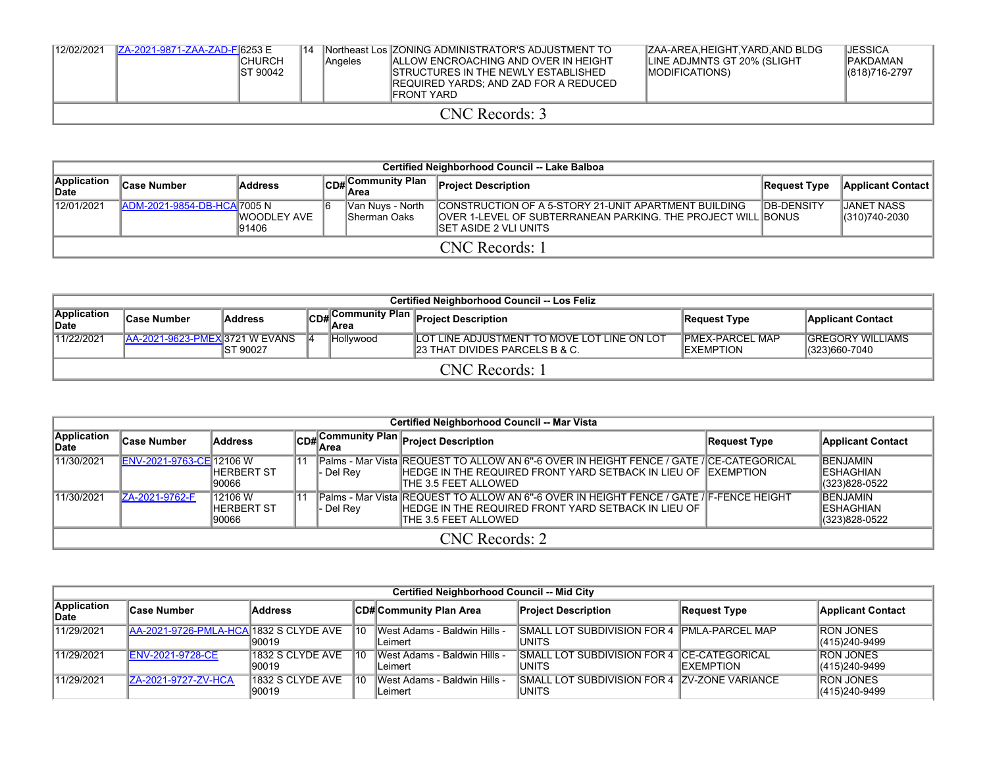| 12/02/2021 | ZA-2021-9871-ZAA-ZAD-F 6253 E | <b>ICHURCH</b><br>IST 90042 | 14 | Angeles | INortheast Los ZONING ADMINISTRATOR'S ADJUSTMENT TO<br><b>IALLOW ENCROACHING AND OVER IN HEIGHT</b><br>ISTRUCTURES IN THE NEWLY ESTABLISHED<br>IREQUIRED YARDS: AND ZAD FOR A REDUCED<br><b>IFRONT YARD</b> | IZAA-AREA HEIGHT YARD AND BLDG<br>LINE ADJMNTS GT 20% (SLIGHT<br><b>IMODIFICATIONS</b> | <b>JESSICA</b><br><b>PAKDAMAN</b><br>(818) 716-2797 |
|------------|-------------------------------|-----------------------------|----|---------|-------------------------------------------------------------------------------------------------------------------------------------------------------------------------------------------------------------|----------------------------------------------------------------------------------------|-----------------------------------------------------|
|            |                               |                             |    |         | CNC Records: 3                                                                                                                                                                                              |                                                                                        |                                                     |

| Certified Neighborhood Council -- Lake Balboa |                                                                                                                                                                                                                                                                    |              |                   |  |                |  |  |  |  |  |  |  |
|-----------------------------------------------|--------------------------------------------------------------------------------------------------------------------------------------------------------------------------------------------------------------------------------------------------------------------|--------------|-------------------|--|----------------|--|--|--|--|--|--|--|
| Application<br><b>IDate</b>                   | <b>Case Number</b>                                                                                                                                                                                                                                                 | Request Type | Applicant Contact |  |                |  |  |  |  |  |  |  |
| 12/01/2021                                    | ADM-2021-9854-DB-HCA 7005 N<br><b>CONSTRUCTION OF A 5-STORY 21-UNIT APARTMENT BUILDING</b><br>∥Van Nuys - North<br><b>OVER 1-LEVEL OF SUBTERRANEAN PARKING. THE PROJECT WILL BONUS</b><br>IWOODLEY AVE<br><b>ISherman Oaks</b><br>191406<br>ISET ASIDE 2 VLI UNITS |              |                   |  |                |  |  |  |  |  |  |  |
|                                               |                                                                                                                                                                                                                                                                    |              |                   |  | CNC Records: 1 |  |  |  |  |  |  |  |

| Certified Neighborhood Council -- Los Feliz                                                      |                                                                                                                                                                                                                                                   |  |  |  |                                    |              |                          |  |  |  |  |  |
|--------------------------------------------------------------------------------------------------|---------------------------------------------------------------------------------------------------------------------------------------------------------------------------------------------------------------------------------------------------|--|--|--|------------------------------------|--------------|--------------------------|--|--|--|--|--|
| Application<br><sup>∥</sup> CD#∣ <sub>Area</sub><br>Address<br><b>Case Number</b><br><b>Date</b> |                                                                                                                                                                                                                                                   |  |  |  | Community Plan Project Description | Request Type | <b>Applicant Contact</b> |  |  |  |  |  |
| 11/22/2021                                                                                       | LOT LINE ADJUSTMENT TO MOVE LOT LINE ON LOT<br>IPMEX-PARCEL MAP<br><b>IGREGORY WILLIAMS</b><br><b>AA-2021-9623-PMEX 3721 W EVANS</b><br>Hollywood<br><b>23 THAT DIVIDES PARCELS B &amp; C.</b><br>IST 90027<br>(323)660-7040<br><b>IEXEMPTION</b> |  |  |  |                                    |              |                          |  |  |  |  |  |
|                                                                                                  | CNC Records: 1                                                                                                                                                                                                                                    |  |  |  |                                    |              |                          |  |  |  |  |  |

|                      | Certified Neighborhood Council -- Mar Vista                                                                                                                                                                                                                                                                         |                       |    |           |                                                                                                                                                                                             |              |                                                        |  |  |  |  |  |  |
|----------------------|---------------------------------------------------------------------------------------------------------------------------------------------------------------------------------------------------------------------------------------------------------------------------------------------------------------------|-----------------------|----|-----------|---------------------------------------------------------------------------------------------------------------------------------------------------------------------------------------------|--------------|--------------------------------------------------------|--|--|--|--|--|--|
| Application<br>∥Date | ∣Case Number                                                                                                                                                                                                                                                                                                        | <b>Address</b>        |    |           | CD#Community Plan Project Description                                                                                                                                                       | Request Type | <b>Applicant Contact</b>                               |  |  |  |  |  |  |
| 11/30/2021           | ENV-2021-9763-CE 12106 W                                                                                                                                                                                                                                                                                            | IHERBERT ST<br>190066 | 11 | - Del Rev | lPalms - Mar Vista IREQUEST TO ALLOW AN 6"-6 OVER IN HEIGHT FENCE / GATE /ICE-CATEGORICAL<br><b>IHEDGE IN THE REQUIRED FRONT YARD SETBACK IN LIEU OF IEXEMPTION</b><br>THE 3.5 FEET ALLOWED |              | <b>IBENJAMIN</b><br><b>IESHAGHIAN</b><br>(323)828-0522 |  |  |  |  |  |  |
| 11/30/2021           | 12106 W<br> 11<br>IPalms - Mar Vista IREQUEST TO ALLOW AN 6"-6 OVER IN HEIGHT FENCE / GATE /IF-FENCE HEIGHT<br><b>IBENJAMIN</b><br>ZA-2021-9762-F<br>HEDGE IN THE REQUIRED FRONT YARD SETBACK IN LIEU OF<br><b>IESHAGHIAN</b><br><b>IHERBERT ST</b><br>- Del Rev<br>(323)828-0522<br>THE 3.5 FEET ALLOWED<br>190066 |                       |    |           |                                                                                                                                                                                             |              |                                                        |  |  |  |  |  |  |
|                      | CNC Records: 2                                                                                                                                                                                                                                                                                                      |                       |    |           |                                                                                                                                                                                             |              |                                                        |  |  |  |  |  |  |

|                      | Certified Neighborhood Council -- Mid City |                           |                 |                                         |                                                                |                     |                                   |  |  |  |  |  |  |
|----------------------|--------------------------------------------|---------------------------|-----------------|-----------------------------------------|----------------------------------------------------------------|---------------------|-----------------------------------|--|--|--|--|--|--|
| Application<br>∣Date | <b>Case Number</b>                         | <b>Address</b>            |                 | CD# Community Plan Area                 | <b>Project Description</b>                                     | <b>Request Type</b> | <b>Applicant Contact</b>          |  |  |  |  |  |  |
| 11/29/2021           | AA-2021-9726-PMLA-HCA 1832 S CLYDE AVE     | 90019                     | 10              | West Adams - Baldwin Hills -<br>Leimert | <b>SMALL LOT SUBDIVISION FOR 4 PMLA-PARCEL MAP</b><br>IUNITS   |                     | <b>RON JONES</b><br>(415)240-9499 |  |  |  |  |  |  |
| 11/29/2021           | <b>ENV-2021-9728-CE</b>                    | 1832 S CLYDE AVE<br>90019 | 10 <sup>1</sup> | West Adams - Baldwin Hills -<br>Leimert | SMALL LOT SUBDIVISION FOR 4 CE-CATEGORICAL<br>IUNITS           | <b>IEXEMPTION</b>   | <b>RON JONES</b><br>(415)240-9499 |  |  |  |  |  |  |
| 11/29/2021           | ZA-2021-9727-ZV-HCA                        | 1832 S CLYDE AVE<br>90019 | 10              | West Adams - Baldwin Hills -<br>Leimert | <b>ISMALL LOT SUBDIVISION FOR 4 ZV-ZONE VARIANCE</b><br>IUNITS |                     | <b>RON JONES</b><br>(415)240-9499 |  |  |  |  |  |  |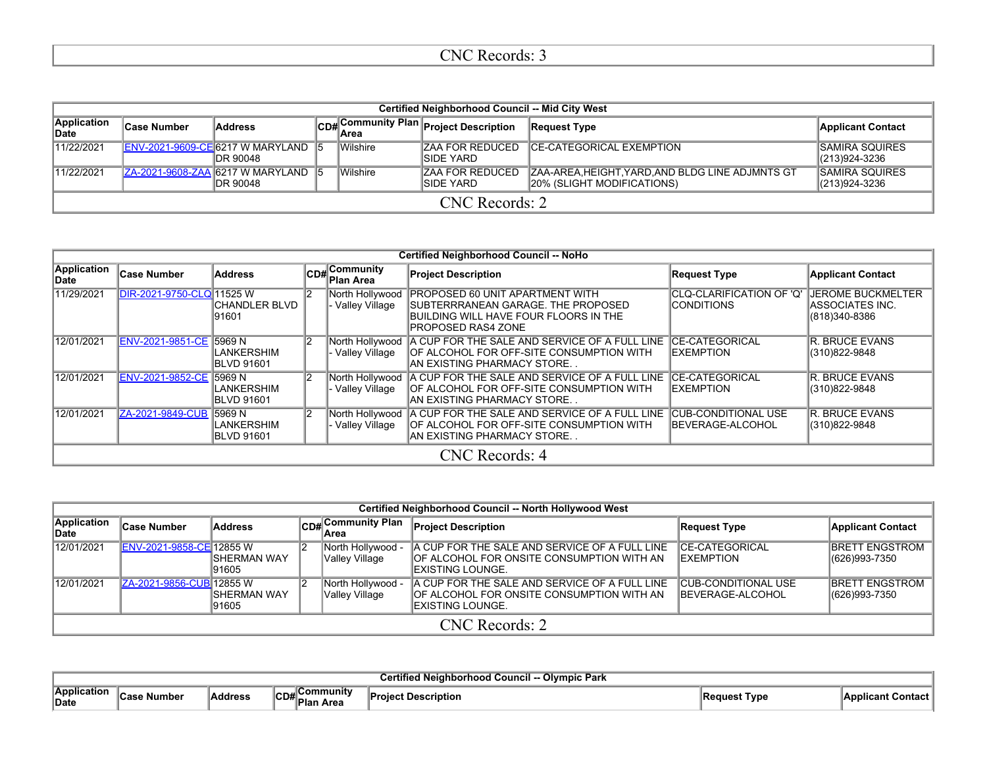|                      | Certified Neighborhood Council -- Mid City West                                                                                                                                                                                  |                |  |  |                                        |                     |                          |  |  |  |  |
|----------------------|----------------------------------------------------------------------------------------------------------------------------------------------------------------------------------------------------------------------------------|----------------|--|--|----------------------------------------|---------------------|--------------------------|--|--|--|--|
| Application<br>∣Date | ∣Case Number                                                                                                                                                                                                                     | <b>Address</b> |  |  | CD# Community Plan Project Description | <b>Request Type</b> | <b>Applicant Contact</b> |  |  |  |  |
| 11/22/2021           | Wilshire<br>ENV-2021-9609-CE 6217 W MARYLAND 5<br><b>CE-CATEGORICAL EXEMPTION</b><br><b>ISAMIRA SQUIRES</b><br>ZAA FOR REDUCED<br>ISIDE YARD<br><b>IDR 90048</b><br>(213)924-3236                                                |                |  |  |                                        |                     |                          |  |  |  |  |
| 11/22/2021           | Wilshire<br>ZA-2021-9608-ZAA 6217 W MARYLAND 5<br><b>ZAA FOR REDUCED</b><br><b>ISAMIRA SQUIRES</b><br>ZAA-AREA, HEIGHT, YARD, AND BLDG LINE ADJMNTS GT<br>20% (SLIGHT MODIFICATIONS)<br>(213)924-3236<br>ISIDE YARD<br>IDR 90048 |                |  |  |                                        |                     |                          |  |  |  |  |
|                      | CNC Records: 2                                                                                                                                                                                                                   |                |  |  |                                        |                     |                          |  |  |  |  |

|                            |                           |                                        |                                         |                                   | <b>Certified Neighborhood Council -- NoHo</b>                                                                                                                |                                                |                                                                     |
|----------------------------|---------------------------|----------------------------------------|-----------------------------------------|-----------------------------------|--------------------------------------------------------------------------------------------------------------------------------------------------------------|------------------------------------------------|---------------------------------------------------------------------|
| Application<br><b>Date</b> | <b>Case Number</b>        | <b>Address</b>                         | $C$ D# $C$ ommunity<br><b>Plan Area</b> |                                   | <b>Project Description</b>                                                                                                                                   | <b>Request Type</b>                            | <b>Applicant Contact</b>                                            |
| 11/29/2021                 | DIR-2021-9750-CLQ 11525 W | CHANDLER BLVD<br>91601                 |                                         | North Hollywood<br>Valley Village | <b>PROPOSED 60 UNIT APARTMENT WITH</b><br><b>SUBTERRRANEAN GARAGE. THE PROPOSED</b><br>BUILDING WILL HAVE FOUR FLOORS IN THE<br><b>IPROPOSED RAS4 ZONE</b>   | CLQ-CLARIFICATION OF 'Q'<br><b>ICONDITIONS</b> | <b>JEROME BUCKMELTER</b><br><b>ASSOCIATES INC.</b><br>(818)340-8386 |
| 12/01/2021                 | ENV-2021-9851-CE 5969 N   | LANKERSHIM<br><b>BLVD 91601</b>        |                                         | Valley Village                    | North Hollywood   A CUP FOR THE SALE AND SERVICE OF A FULL LINE   CE-CATEGORICAL<br>OF ALCOHOL FOR OFF-SITE CONSUMPTION WITH<br>IAN EXISTING PHARMACY STORE. | <b>EXEMPTION</b>                               | <b>R. BRUCE EVANS</b><br>(310)822-9848                              |
| 12/01/2021                 | ENV-2021-9852-CE 5969 N   | <b>LANKERSHIM</b><br><b>BLVD 91601</b> |                                         | North Hollywood<br>Valley Village | A CUP FOR THE SALE AND SERVICE OF A FULL LINE CE-CATEGORICAL<br><b>OF ALCOHOL FOR OFF-SITE CONSUMPTION WITH</b><br>IAN EXISTING PHARMACY STORE.              | EXEMPTION                                      | <b>R. BRUCE EVANS</b><br>(310)822-9848                              |
| 12/01/2021                 | ZA-2021-9849-CUB 15969 N  | <b>LANKERSHIM</b><br><b>BLVD 91601</b> |                                         | Valley Village                    | North Hollywood   A CUP FOR THE SALE AND SERVICE OF A FULL LINE<br>OF ALCOHOL FOR OFF-SITE CONSUMPTION WITH<br>IAN EXISTING PHARMACY STORE                   | <b>CUB-CONDITIONAL USE</b><br>BEVERAGE-ALCOHOL | <b>R. BRUCE EVANS</b><br>(310)822-9848                              |
|                            |                           |                                        |                                         |                                   | CNC Records: 4                                                                                                                                               |                                                |                                                                     |

|                      | Certified Neighborhood Council -- North Hollywood West |                                                                                           |  |                                     |                                                                                                                   |                                                        |                                        |  |  |  |  |  |  |  |
|----------------------|--------------------------------------------------------|-------------------------------------------------------------------------------------------|--|-------------------------------------|-------------------------------------------------------------------------------------------------------------------|--------------------------------------------------------|----------------------------------------|--|--|--|--|--|--|--|
| Application<br>∣Date | <b>Case Number</b>                                     | Address                                                                                   |  | $ CDH $ Community Plan              | <b>Project Description</b>                                                                                        | Request Type                                           | <b>Applicant Contact</b>               |  |  |  |  |  |  |  |
| 12/01/2021           | <b>IENV-2021-9858-CEI12855 W</b>                       | ISHERMAN WAY<br>91605                                                                     |  | North Hollywood -<br>Valley Village | IA CUP FOR THE SALE AND SERVICE OF A FULL LINE<br>IOF ALCOHOL FOR ONSITE CONSUMPTION WITH AN<br>IEXISTING LOUNGE. | ICE-CATEGORICAL<br><b>IEXEMPTION</b>                   | <b>BRETT ENGSTROM</b><br>(626)993-7350 |  |  |  |  |  |  |  |
| 12/01/2021           |                                                        | ZA-2021-9856-CUB 12855 W<br>North Hollywood -<br>Valley Village<br>ISHERMAN WAY<br>191605 |  |                                     | A CUP FOR THE SALE AND SERVICE OF A FULL LINE<br>OF ALCOHOL FOR ONSITE CONSUMPTION WITH AN<br>IEXISTING LOUNGE.   | <b>CUB-CONDITIONAL USE</b><br><b>IBEVERAGE-ALCOHOL</b> | <b>BRETT ENGSTROM</b><br>(626)993-7350 |  |  |  |  |  |  |  |
|                      | CNC Records: 2                                         |                                                                                           |  |                                     |                                                                                                                   |                                                        |                                        |  |  |  |  |  |  |  |

|                      | .<br><b>Iympic Park</b><br>ouncil |          |                                                   |                  |      |      |  |  |  |  |  |  |
|----------------------|-----------------------------------|----------|---------------------------------------------------|------------------|------|------|--|--|--|--|--|--|
| ∥Annlicati∩r<br>Date | . Number<br>$-0.00$               | `Addres⊾ | ⊪Communitv<br>החמי<br>≀∪ ∪<br><b>Plan</b><br>Area | Description<br>. | יש ו | Anni |  |  |  |  |  |  |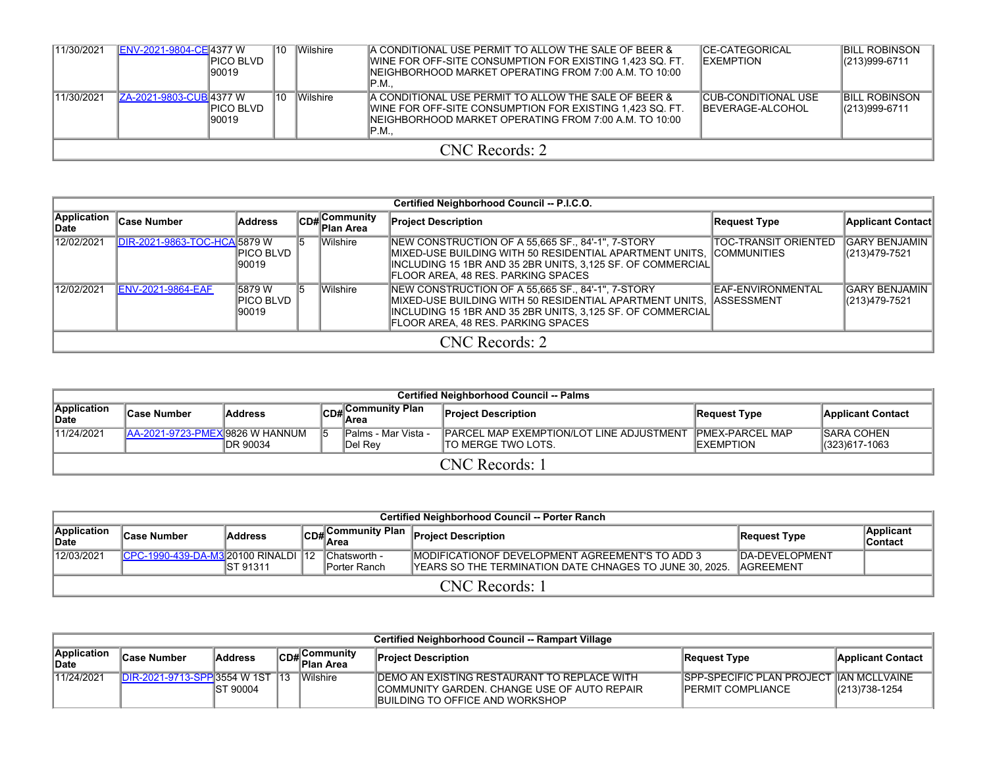| 11/30/2021 | ENV-2021-9804-CE 4377 W        | <b>PICO BLVD</b><br>90019 | 10 | <b>Wilshire</b> | A CONDITIONAL USE PERMIT TO ALLOW THE SALE OF BEER &<br><b>IWINE FOR OFF-SITE CONSUMPTION FOR EXISTING 1,423 SQ. FT.</b><br>INEIGHBORHOOD MARKET OPERATING FROM 7:00 A.M. TO 10:00<br>$\P$ P.M. | <b>ICE-CATEGORICAL</b><br><b>IEXEMPTION</b>            | <b>BILL ROBINSON</b><br>$ (213)999-6711$ |  |  |  |  |
|------------|--------------------------------|---------------------------|----|-----------------|-------------------------------------------------------------------------------------------------------------------------------------------------------------------------------------------------|--------------------------------------------------------|------------------------------------------|--|--|--|--|
| 11/30/2021 | <b>ZA-2021-9803-CUB 4377 W</b> | PICO BLVD<br>90019        | 10 | <b>Wilshire</b> | A CONDITIONAL USE PERMIT TO ALLOW THE SALE OF BEER &<br>WINE FOR OFF-SITE CONSUMPTION FOR EXISTING 1.423 SQ. FT.<br>INEIGHBORHOOD MARKET OPERATING FROM 7:00 A.M. TO 10:00<br>$\P$ P.M.         | <b>CUB-CONDITIONAL USE</b><br><b>IBEVERAGE-ALCOHOL</b> | <b>BILL ROBINSON</b><br>$ (213)999-6711$ |  |  |  |  |
|            | CNC Records: 2                 |                           |    |                 |                                                                                                                                                                                                 |                                                        |                                          |  |  |  |  |

|                                                                                           |                              |                      |  |                           | Certified Neighborhood Council -- P.I.C.O.                                                                                                                                                                                      |                             |                                       |
|-------------------------------------------------------------------------------------------|------------------------------|----------------------|--|---------------------------|---------------------------------------------------------------------------------------------------------------------------------------------------------------------------------------------------------------------------------|-----------------------------|---------------------------------------|
| Application<br>∥Date                                                                      | <b>Case Number</b>           | Address              |  | CD#Community<br>Plan Area | <b>Project Description</b>                                                                                                                                                                                                      | Request Type                | Applicant Contact                     |
| 12/02/2021                                                                                | DIR-2021-9863-TOC-HCA 5879 W | PICO BLVD  <br>90019 |  | <b>Wilshire</b>           | NEW CONSTRUCTION OF A 55,665 SF., 84'-1", 7-STORY<br> INCLUDING 15 1BR AND 35 2BR UNITS, 3,125 SF. OF COMMERCIAL <br>FLOOR AREA, 48 RES. PARKING SPACES                                                                         | <b>TOC-TRANSIT ORIENTED</b> | <b>GARY BENJAMIN</b><br>(213)479-7521 |
| <b>Wilshire</b><br>12/02/2021<br><b>ENV-2021-9864-EAF</b><br>5879 W<br>PICO BLVD<br>90019 |                              |                      |  |                           | NEW CONSTRUCTION OF A 55,665 SF., 84'-1", 7-STORY<br>IMIXED-USE BUILDING WITH 50 RESIDENTIAL APARTMENT UNITS. IASSESSMENT<br> INCLUDING 15 1BR AND 35 2BR UNITS, 3,125 SF. OF COMMERCIAL <br>FLOOR AREA, 48 RES. PARKING SPACES | IEAF-ENVIRONMENTAL          | IGARY BENJAMIN<br>(213)479-7521       |
|                                                                                           |                              |                      |  |                           | CNC Records: 2                                                                                                                                                                                                                  |                             |                                       |

|                      | <b>Certified Neighborhood Council -- Palms</b> |                                                                                                                                                                                                                                                          |  |                   |                            |              |                          |  |  |  |  |  |  |  |
|----------------------|------------------------------------------------|----------------------------------------------------------------------------------------------------------------------------------------------------------------------------------------------------------------------------------------------------------|--|-------------------|----------------------------|--------------|--------------------------|--|--|--|--|--|--|--|
| Application<br>∣Date | <b>Case Number</b>                             | <b>Address</b>                                                                                                                                                                                                                                           |  | CD#Community Plan | <b>Project Description</b> | Request Type | <b>Applicant Contact</b> |  |  |  |  |  |  |  |
| 11/24/2021           |                                                | <b>ISARA COHEN</b><br>lPalms - Mar Vista -<br><b>IPARCEL MAP EXEMPTION/LOT LINE ADJUSTMENT</b><br><b>IPMEX-PARCEL MAP</b><br>LAA-2021-9723-PMEXI9826 W HANNUM<br>15<br>DR 90034<br><b>IEXEMPTION</b><br>(323)617-1063<br>ITO MERGE TWO LOTS.<br>IDel Rev |  |                   |                            |              |                          |  |  |  |  |  |  |  |
|                      | CNC Records: 1                                 |                                                                                                                                                                                                                                                          |  |                   |                            |              |                          |  |  |  |  |  |  |  |

|                                                                       | <b>Certified Neighborhood Council -- Porter Ranch</b> |                  |  |                              |                                                                                                                    |                                             |                      |  |  |  |  |  |  |  |
|-----------------------------------------------------------------------|-------------------------------------------------------|------------------|--|------------------------------|--------------------------------------------------------------------------------------------------------------------|---------------------------------------------|----------------------|--|--|--|--|--|--|--|
| Application<br>CD# Community Plan<br>Address<br>∣Case Number<br>∥Date |                                                       |                  |  |                              | <b>Project Description</b>                                                                                         | Request Type                                | Applicant<br>Contact |  |  |  |  |  |  |  |
| 12/03/2021                                                            | CPC-1990-439-DA-M3 20100 RINALDI 12                   | <b>IST 91311</b> |  | Chatsworth -<br>Porter Ranch | <b>IMODIFICATIONOF DEVELOPMENT AGREEMENT'S TO ADD 3</b><br>YEARS SO THE TERMINATION DATE CHNAGES TO JUNE 30, 2025. | <b>IDA-DEVELOPMENT</b><br><b>IAGREEMENT</b> |                      |  |  |  |  |  |  |  |
|                                                                       | CNC Records: 1                                        |                  |  |                              |                                                                                                                    |                                             |                      |  |  |  |  |  |  |  |

|                      | Certified Neighborhood Council -- Rampart Village |                  |  |                                                 |                                                                                                                                          |                                                                |                                    |  |  |  |  |  |  |  |
|----------------------|---------------------------------------------------|------------------|--|-------------------------------------------------|------------------------------------------------------------------------------------------------------------------------------------------|----------------------------------------------------------------|------------------------------------|--|--|--|--|--|--|--|
| Application<br>∥Date | <b>Case Number</b>                                | Address          |  | ∣Communitv<br>lCD# C <sup>O…</sup><br>Plan Area | <b>Project Description</b>                                                                                                               | Request Type                                                   | <b>Applicant Contact</b>           |  |  |  |  |  |  |  |
| 11/24/2021           | DIR-2021-9713-SPP 3554 W 1ST 13                   | <b>IST 90004</b> |  | <i><b>Wilshire</b></i>                          | IDEMO AN EXISTING RESTAURANT TO REPLACE WITH<br>ICOMMUNITY GARDEN. CHANGE USE OF AUTO REPAIR.<br><b>IBUILDING TO OFFICE AND WORKSHOP</b> | <b>ISPP-SPECIFIC PLAN PROJECT</b><br><b>IPERMIT COMPLIANCE</b> | 「 IIAN MCLLVAINE<br>(213) 738-1254 |  |  |  |  |  |  |  |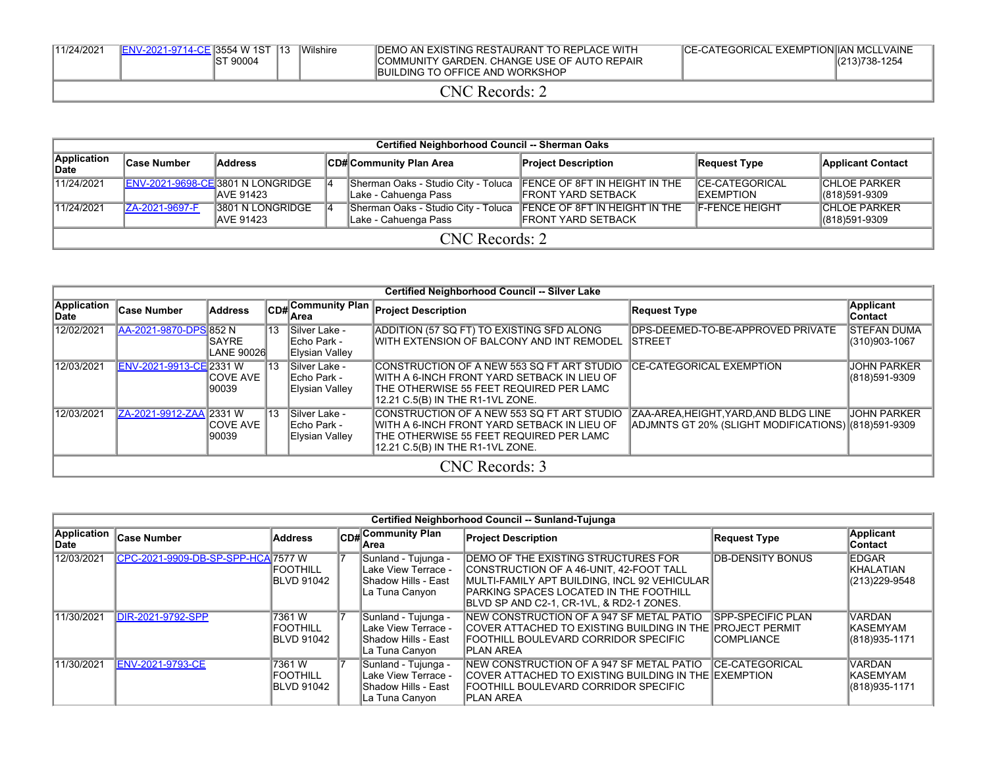| 11/24/2021 | ENV-2021-9714-CE 3554 W 1ST | IST 90004 | "Wilshire | <b>IDEMO AN EXISTING RESTAURANT TO REPLACE WITH</b><br>COMMUNITY GARDEN, CHANGE USE OF AUTO REPAIR<br><b>IBUILDING TO OFFICE AND WORKSHOP</b> | <b>CE-CATEGORICAL EXEMPTION IAN MCLLVAINE</b> | (213)738-1254 |
|------------|-----------------------------|-----------|-----------|-----------------------------------------------------------------------------------------------------------------------------------------------|-----------------------------------------------|---------------|
|            |                             |           |           | NC<br>Records:                                                                                                                                |                                               |               |

|                      | Certified Neighborhood Council -- Sherman Oaks |                                                        |    |                                                                                           |                            |                                            |                                         |  |  |  |  |  |
|----------------------|------------------------------------------------|--------------------------------------------------------|----|-------------------------------------------------------------------------------------------|----------------------------|--------------------------------------------|-----------------------------------------|--|--|--|--|--|
| Application<br>∣Date | <b>Case Number</b>                             | <b>Address</b>                                         |    | CD# Community Plan Area                                                                   | <b>Project Description</b> | <b>Request Type</b>                        | <b>Applicant Contact</b>                |  |  |  |  |  |
| 11/24/2021           |                                                | ENV-2021-9698-CE 3801 N LONGRIDGE<br><b>JAVE 91423</b> | 14 | Sherman Oaks - Studio City - Toluca FENCE OF 8FT IN HEIGHT IN THE<br>Lake - Cahuenga Pass | <b>FRONT YARD SETBACK</b>  | <b>CE-CATEGORICAL</b><br><b>IEXEMPTION</b> | <b>CHLOE PARKER</b><br>$ (818)591-9309$ |  |  |  |  |  |
| 11/24/2021           | ZA-2021-9697-F                                 | 3801 N LONGRIDGE<br><b>JAVE 91423</b>                  | 14 | Sherman Oaks - Studio City - Toluca FENCE OF 8FT IN HEIGHT IN THE<br>Lake - Cahuenga Pass | <b>IFRONT YARD SETBACK</b> | <b>F-FENCE HEIGHT</b>                      | <b>CHLOE PARKER</b><br>$ (818)591-9309$ |  |  |  |  |  |
|                      | CNC Records: 2                                 |                                                        |    |                                                                                           |                            |                                            |                                         |  |  |  |  |  |

|                      |                         |                             |      |                                                        | Certified Neighborhood Council -- Silver Lake                                                                                                                              |                                                                                              |                                     |
|----------------------|-------------------------|-----------------------------|------|--------------------------------------------------------|----------------------------------------------------------------------------------------------------------------------------------------------------------------------------|----------------------------------------------------------------------------------------------|-------------------------------------|
| Application<br>∣Date | <b>Case Number</b>      | <b>Address</b>              |      | CD# Community Plan<br>lArea                            | <b>Project Description</b>                                                                                                                                                 | <b>Request Type</b>                                                                          | <b>Applicant</b><br><b>Contact</b>  |
| 12/02/2021           | AA-2021-9870-DPS 852 N  | <b>ISAYRE</b><br>LANE 90026 | 113  | Silver Lake -<br><b>IEcho Park -</b><br>Elysian Valley | ADDITION (57 SQ FT) TO EXISTING SFD ALONG<br>WITH EXTENSION OF BALCONY AND INT REMODEL                                                                                     | DPS-DEEMED-TO-BE-APPROVED PRIVATE<br>ISTREET                                                 | <b>STEFAN DUMA</b><br>(310)903-1067 |
| 12/03/2021           | ENV-2021-9913-CE 2331 W | <b>ICOVE AVE</b><br>90039   | 113  | <b>ISilver Lake -</b><br>Echo Park -<br>Elysian Valley | CONSTRUCTION OF A NEW 553 SQ FT ART STUDIO<br>WITH A 6-INCH FRONT YARD SETBACK IN LIEU OF<br>ITHE OTHERWISE 55 FEET REQUIRED PER LAMC<br>12.21 C.5(B) IN THE R1-1VL ZONE.  | <b>CE-CATEGORICAL EXEMPTION</b>                                                              | <b>JOHN PARKER</b><br>(818)591-9309 |
| 12/03/2021           | ZA-2021-9912-ZAA 2331 W | <b>ICOVE AVE</b><br>90039   | 113. | Silver Lake -<br>IEcho Park -<br>Elysian Valley        | CONSTRUCTION OF A NEW 553 SO FT ART STUDIO<br>IWITH A 6-INCH FRONT YARD SETBACK IN LIEU OF<br>ITHE OTHERWISE 55 FEET REQUIRED PER LAMC<br>12.21 C.5(B) IN THE R1-1VL ZONE. | ZAA-AREA, HEIGHT, YARD, AND BLDG LINE<br>ADJMNTS GT 20% (SLIGHT MODIFICATIONS) (818)591-9309 | IJOHN PARKER                        |
|                      |                         |                             |      |                                                        | CNC Records: 3                                                                                                                                                             |                                                                                              |                                     |

|                             |                                    |                                                 |                                                                                             | Certified Neighborhood Council -- Sunland-Tujunga                                                                                                                                                                             |                                                                   |                                                     |
|-----------------------------|------------------------------------|-------------------------------------------------|---------------------------------------------------------------------------------------------|-------------------------------------------------------------------------------------------------------------------------------------------------------------------------------------------------------------------------------|-------------------------------------------------------------------|-----------------------------------------------------|
| <b>Application</b><br>∣Date | <b>Case Number</b>                 | <b>Address</b>                                  | <b>CD#</b> Community Plan<br>lArea                                                          | <b>Project Description</b>                                                                                                                                                                                                    | <b>Request Type</b>                                               | Applicant<br>∣Contact                               |
| 12/03/2021                  | CPC-2021-9909-DB-SP-SPP-HCA 7577 W | <b>IFOOTHILL</b><br><b>BLVD 91042</b>           | Sunland - Tujunga -<br>Lake View Terrace -<br>lShadow Hills - East<br>ILa Tuna Canvon       | DEMO OF THE EXISTING STRUCTURES FOR<br>CONSTRUCTION OF A 46-UNIT, 42-FOOT TALL<br>MULTI-FAMILY APT BUILDING, INCL 92 VEHICULAR<br><b>IPARKING SPACES LOCATED IN THE FOOTHILL</b><br>IBLVD SP AND C2-1. CR-1VL. & RD2-1 ZONES. | <b>DB-DENSITY BONUS</b>                                           | <b>EDGAR</b><br>IKHALATIAN<br>(213) 229-9548        |
| 11/30/2021                  | DIR-2021-9792-SPP                  | 7361 W<br><b>FOOTHILL</b><br><b>IBLVD 91042</b> | Sunland - Tujunga -<br>Lake View Terrace -<br>lShadow Hills - East<br>La Tuna Canyon        | NEW CONSTRUCTION OF A 947 SF METAL PATIO<br>COVER ATTACHED TO EXISTING BUILDING IN THE I<br> FOOTHILL BOULEVARD CORRIDOR SPECIFIC<br><b>IPLAN AREA</b>                                                                        | <b>SPP-SPECIFIC PLAN</b><br><b>IPROJECT PERMIT</b><br>ICOMPLIANCE | <b>VARDAN</b><br><b>IKASEMYAM</b><br>(818) 935-1171 |
| 11/30/2021                  | <b>ENV-2021-9793-CE</b>            | 7361 W<br><b>FOOTHILL</b><br><b>BLVD 91042</b>  | Sunland - Tujunga -<br>Lake View Terrace -<br><b>IShadow Hills - East</b><br>La Tuna Canyon | NEW CONSTRUCTION OF A 947 SF METAL PATIO<br>COVER ATTACHED TO EXISTING BUILDING IN THE IEXEMPTION<br> FOOTHILL BOULEVARD CORRIDOR SPECIFIC<br>IPLAN AREA                                                                      | <b>ICE-CATEGORICAL</b>                                            | <b>VARDAN</b><br>IKASEMYAM<br>(818) 935-1171        |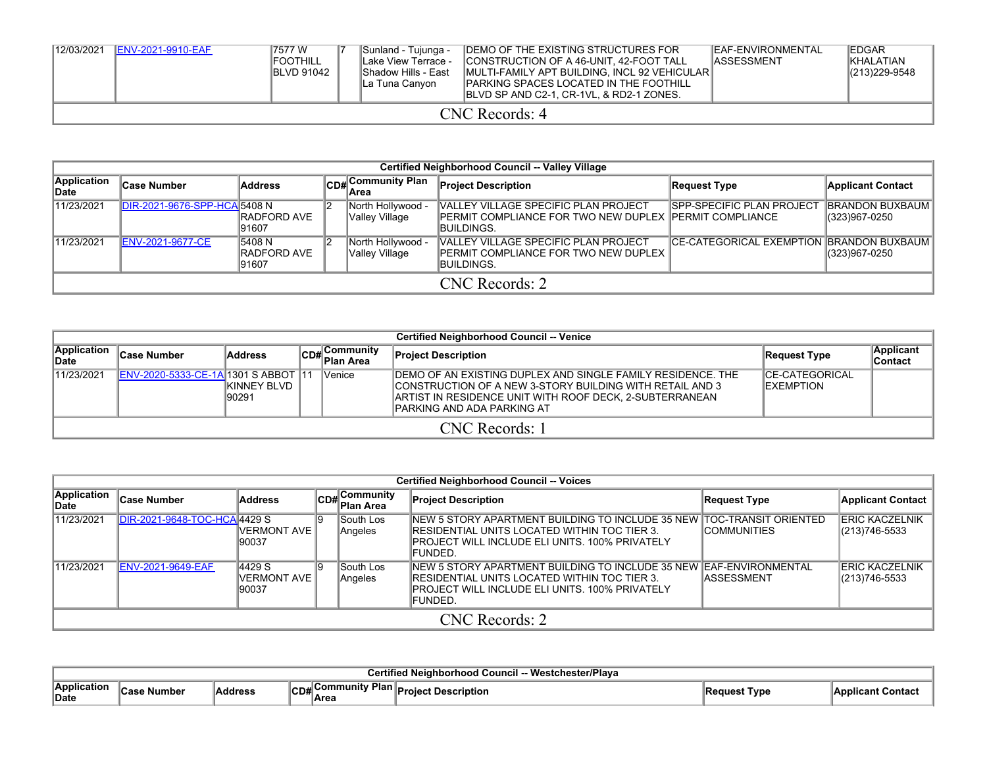| 12/03/2021 | <b>IENV-2021-9910-EAF</b> | 17577 W<br><b>IFOOTHILL</b><br><b>IBLVD 91042</b> |  | Sunland - Tujunga -<br>Lake View Terrace -<br><b>IShadow Hills - East</b><br>ILa Tuna Canvon | <b>IDEMO OF THE EXISTING STRUCTURES FOR</b><br>CONSTRUCTION OF A 46-UNIT. 42-FOOT TALL<br>MULTI-FAMILY APT BUILDING, INCL 92 VEHICULAR<br><b>IPARKING SPACES LOCATED IN THE FOOTHILL</b><br><b>IBLVD SP AND C2-1, CR-1VL, &amp; RD2-1 ZONES.</b> | <b>IEAF-ENVIRONMENTAL</b><br><b>IASSESSMENT</b> | <b>IEDGAR</b><br><b>IKHALATIAN</b><br>$ (213)229-9548$ |  |  |  |  |
|------------|---------------------------|---------------------------------------------------|--|----------------------------------------------------------------------------------------------|--------------------------------------------------------------------------------------------------------------------------------------------------------------------------------------------------------------------------------------------------|-------------------------------------------------|--------------------------------------------------------|--|--|--|--|
|            | CNC Records: 4            |                                                   |  |                                                                                              |                                                                                                                                                                                                                                                  |                                                 |                                                        |  |  |  |  |

|                      | Certified Neighborhood Council -- Valley Village |                                 |  |                                     |                                                                                                                        |                                                    |                                         |  |  |  |
|----------------------|--------------------------------------------------|---------------------------------|--|-------------------------------------|------------------------------------------------------------------------------------------------------------------------|----------------------------------------------------|-----------------------------------------|--|--|--|
| Application<br>∥Date | ∣Case Number                                     | Address                         |  | CD#Community Plan<br>lArea          | <b>Project Description</b>                                                                                             | <b>Request Type</b>                                | <b>Applicant Contact</b>                |  |  |  |
| 11/23/2021           | DIR-2021-9676-SPP-HCA 5408 N                     | <b>IRADFORD AVE</b><br>91607    |  | North Hollywood -<br>Valley Village | VALLEY VILLAGE SPECIFIC PLAN PROJECT<br><b>IPERMIT COMPLIANCE FOR TWO NEW DUPLEX IPERMIT COMPLIANCE</b><br>IBUILDINGS. | <b>SPP-SPECIFIC PLAN PROJECT</b>                   | <b>BRANDON BUXBAUM</b><br>(323)967-0250 |  |  |  |
| 11/23/2021           | <b>ENV-2021-9677-CE</b>                          | 5408 N<br>IRADFORD AVE<br>91607 |  | North Hollywood -<br>Valley Village | VALLEY VILLAGE SPECIFIC PLAN PROJECT<br><b>IPERMIT COMPLIANCE FOR TWO NEW DUPLEX</b><br>IBUILDINGS.                    | <b>CE-CATEGORICAL EXEMPTION IBRANDON BUXBAUM I</b> | (323)967-0250                           |  |  |  |
|                      | CNC Records: 2                                   |                                 |  |                                     |                                                                                                                        |                                                    |                                         |  |  |  |

|                      | <b>Certified Neighborhood Council -- Venice</b> |                               |  |                            |                                                                                                                                                                                                                            |                                             |                      |  |  |
|----------------------|-------------------------------------------------|-------------------------------|--|----------------------------|----------------------------------------------------------------------------------------------------------------------------------------------------------------------------------------------------------------------------|---------------------------------------------|----------------------|--|--|
| Application<br>∣Date | <b>Case Number</b>                              | <b>Address</b>                |  | CD# Community<br>Plan Area | <b>Project Description</b>                                                                                                                                                                                                 | Request Type                                | Applicant<br>Contact |  |  |
| 11/23/2021           | <b>ENV-2020-5333-CE-1A 1301 S ABBOT 11</b>      | <b>IKINNEY BLVD</b><br>190291 |  | Venice                     | <b>IDEMO OF AN EXISTING DUPLEX AND SINGLE FAMILY RESIDENCE. THE</b><br>CONSTRUCTION OF A NEW 3-STORY BUILDING WITH RETAIL AND 3<br>IARTIST IN RESIDENCE UNIT WITH ROOF DECK. 2-SUBTERRANEAN<br>IPARKING AND ADA PARKING AT | <b>ICE-CATEGORICAL</b><br><b>IEXEMPTION</b> |                      |  |  |
|                      | CNC Records: 1                                  |                               |  |                            |                                                                                                                                                                                                                            |                                             |                      |  |  |

|                      | <b>Certified Neighborhood Council -- Voices</b> |                                 |  |                                        |                                                                                                                                                                                                |                     |                                        |  |  |
|----------------------|-------------------------------------------------|---------------------------------|--|----------------------------------------|------------------------------------------------------------------------------------------------------------------------------------------------------------------------------------------------|---------------------|----------------------------------------|--|--|
| Application<br>∣Date | ∣Case Number                                    | Address                         |  | $C_{DB}$ Community<br><b>Plan Area</b> | <b>Project Description</b>                                                                                                                                                                     | Request Type        | Applicant Contact                      |  |  |
| 11/23/2021           | DIR-2021-9648-TOC-HCA 4429 S                    | IVERMONT AVE<br>90037           |  | South Los<br>Angeles                   | INEW 5 STORY APARTMENT BUILDING TO INCLUDE 35 NEW ITOC-TRANSIT ORIENTED<br><b>IRESIDENTIAL UNITS LOCATED WITHIN TOC TIER 3.</b><br>IPROJECT WILL INCLUDE ELI UNITS. 100% PRIVATELY<br>IFUNDED. | <b>ICOMMUNITIES</b> | ERIC KACZELNIK<br>(213)746-5533        |  |  |
| 11/23/2021           | <b>ENV-2021-9649-EAF</b>                        | 4429 S<br>IVERMONT AVE<br>90037 |  | lSouth Los<br>Angeles                  | INEW 5 STORY APARTMENT BUILDING TO INCLUDE 35 NEW IEAF-ENVIRONMENTAL<br>IRESIDENTIAL UNITS LOCATED WITHIN TOC TIER 3.<br>IPROJECT WILL INCLUDE ELI UNITS. 100% PRIVATELY<br><b>IFUNDED.</b>    | <b>IASSESSMENT</b>  | <b>ERIC KACZELNIK</b><br>(213)746-5533 |  |  |
|                      | CNC Records: 2                                  |                                 |  |                                        |                                                                                                                                                                                                |                     |                                        |  |  |

|                            | - Westchester/Plava<br>' Counci.<br>اممموا المادا<br>ornoon. |                |                                      |                                                |                      |                    |  |  |  |
|----------------------------|--------------------------------------------------------------|----------------|--------------------------------------|------------------------------------------------|----------------------|--------------------|--|--|--|
| <b>Application</b><br>Date | <b>،Case Number</b>                                          | <b>Address</b> | ommunitv Plan I.<br>ICD#I`<br>⊺IArea | <b>Project</b><br><b>Description</b><br>TUIGUL | <b>∖Request Type</b> | iApplicant Contac' |  |  |  |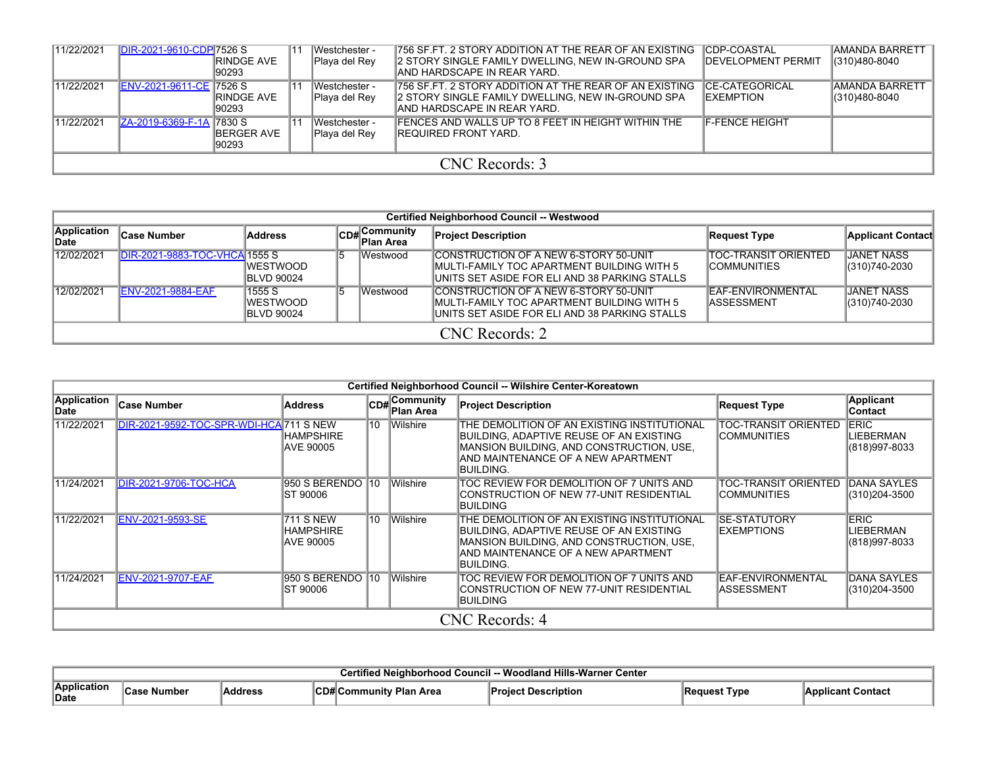| 11/22/2021 | DIR-2021-9610-CDP 7526 S | <b>RINDGE AVE</b><br>190293  |  | <b>IWestchester-</b><br>Playa del Rey | 1756 SF.FT. 2 STORY ADDITION AT THE REAR OF AN EXISTING<br>2 STORY SINGLE FAMILY DWELLING, NEW IN-GROUND SPA<br>IAND HARDSCAPE IN REAR YARD. | <b>CDP-COASTAL</b><br><b>IDEVELOPMENT PERMIT</b> | IAMANDA BARRETT<br>(310)480-8040        |  |
|------------|--------------------------|------------------------------|--|---------------------------------------|----------------------------------------------------------------------------------------------------------------------------------------------|--------------------------------------------------|-----------------------------------------|--|
| 11/22/2021 | ENV-2021-9611-CE 7526 S  | <b>IRINDGE AVE</b><br>190293 |  | Westchester -<br>Playa del Rey        | 756 SF.FT. 2 STORY ADDITION AT THE REAR OF AN EXISTING<br>2 STORY SINGLE FAMILY DWELLING. NEW IN-GROUND SPA<br>IAND HARDSCAPE IN REAR YARD.  | <b>ICE-CATEGORICAL</b><br><b>IEXEMPTION</b>      | <b>IAMANDA BARRETT</b><br>(310)480-8040 |  |
| 11/22/2021 | ZA-2019-6369-F-1A 7830 S | <b>IBERGER AVE</b><br>190293 |  | Westchester -<br>Playa del Rey        | <b>IFENCES AND WALLS UP TO 8 FEET IN HEIGHT WITHIN THE</b><br>IREQUIRED FRONT YARD.                                                          | <b>F-FENCE HEIGHT</b>                            |                                         |  |
|            | CNC Records: 3           |                              |  |                                       |                                                                                                                                              |                                                  |                                         |  |

|                             | Certified Neighborhood Council -- Westwood |                                         |    |                                               |                                                                                                                                        |                                         |                                       |  |  |  |
|-----------------------------|--------------------------------------------|-----------------------------------------|----|-----------------------------------------------|----------------------------------------------------------------------------------------------------------------------------------------|-----------------------------------------|---------------------------------------|--|--|--|
| Application<br><b>IDate</b> | ∣Case Number                               | <b>Address</b>                          |    | Community<br>lCD# <sup>Co…</sup><br>Plan Area | <b>Project Description</b>                                                                                                             | <b>Request Type</b>                     | <b>Applicant Contact</b>              |  |  |  |
| 12/02/2021                  | DIR-2021-9883-TOC-VHCA 1555 S              | <b>WESTWOOD</b><br>BLVD 90024           | 15 | Westwood                                      | CONSTRUCTION OF A NEW 6-STORY 50-UNIT<br>IMULTI-FAMILY TOC APARTMENT BUILDING WITH 5<br>IUNITS SET ASIDE FOR ELI AND 38 PARKING STALLS | ITOC-TRANSIT ORIENTED<br>ICOMMUNITIES   | <b>JANET NASS</b><br>$ (310)740-2030$ |  |  |  |
| 12/02/2021                  | <b>IENV-2021-9884-EAF</b>                  | 1555 S<br><b>WESTWOOD</b><br>BLVD 90024 | 15 | Westwood                                      | CONSTRUCTION OF A NEW 6-STORY 50-UNIT<br>IMULTI-FAMILY TOC APARTMENT BUILDING WITH 5<br>IUNITS SET ASIDE FOR ELI AND 38 PARKING STALLS | EAF-ENVIRONMENTAL<br><b>IASSESSMENT</b> | IJANET NASS<br>(310)740-2030          |  |  |  |
|                             | CNC Records: 2                             |                                         |    |                                               |                                                                                                                                        |                                         |                                       |  |  |  |

|                     |                                        |                                                   |                 |                           | Certified Neighborhood Council -- Wilshire Center-Koreatown                                                                                                                           |                                             |                                            |
|---------------------|----------------------------------------|---------------------------------------------------|-----------------|---------------------------|---------------------------------------------------------------------------------------------------------------------------------------------------------------------------------------|---------------------------------------------|--------------------------------------------|
| Application<br>Date | <b>Case Number</b>                     | <b>Address</b>                                    |                 | CD#Community<br>Plan Area | <b>Project Description</b>                                                                                                                                                            | <b>Request Type</b>                         | Applicant<br>Contact                       |
| 11/22/2021          | DIR-2021-9592-TOC-SPR-WDI-HCA 711 SNEW | <b>HAMPSHIRE</b><br>AVE 90005                     | $\overline{10}$ | Wilshire                  | THE DEMOLITION OF AN EXISTING INSTITUTIONAL<br>BUILDING, ADAPTIVE REUSE OF AN EXISTING<br>MANSION BUILDING, AND CONSTRUCTION, USE,<br>AND MAINTENANCE OF A NEW APARTMENT<br>Building. | TOC-TRANSIT ORIENTED<br>ICOMMUNITIES        | <b>ERIC</b><br>LIEBERMAN<br>(818) 997-8033 |
| 11/24/2021          | <b>DIR-2021-9706-TOC-HCA</b>           | 950 S BERENDO 10<br>IST 90006                     |                 | Wilshire                  | TOC REVIEW FOR DEMOLITION OF 7 UNITS AND<br>CONSTRUCTION OF NEW 77-UNIT RESIDENTIAL<br> BUILDING                                                                                      | <b>TOC-TRANSIT ORIENTED</b><br>ICOMMUNITIES | <b>DANA SAYLES</b><br>(310)204-3500        |
| 11/22/2021          | ENV-2021-9593-SE                       | <b>711 S NEW</b><br><b>HAMPSHIRE</b><br>AVE 90005 | $\overline{10}$ | Wilshire                  | THE DEMOLITION OF AN EXISTING INSTITUTIONAL<br>BUILDING, ADAPTIVE REUSE OF AN EXISTING<br>MANSION BUILDING, AND CONSTRUCTION, USE,<br>AND MAINTENANCE OF A NEW APARTMENT<br>Building. | <b>SE-STATUTORY</b><br><b>EXEMPTIONS</b>    | <b>ERIC</b><br>LIEBERMAN<br>(818)997-8033  |
| 11/24/2021          | <b>ENV-2021-9707-EAF</b>               | 950 S BERENDO 110<br>IST 90006                    |                 | <b>Wilshire</b>           | TOC REVIEW FOR DEMOLITION OF 7 UNITS AND<br>CONSTRUCTION OF NEW 77-UNIT RESIDENTIAL<br> BUILDING                                                                                      | EAF-ENVIRONMENTAL<br>ASSESSMENT             | <b>DANA SAYLES</b><br>(310)204-3500        |
|                     |                                        |                                                   |                 |                           | CNC Records: 4                                                                                                                                                                        |                                             |                                            |

| <b>Woodland Hills-</b><br>s-Warner Center<br>- Council<br>nr1<br>sermea |              |                |             |                   |                    |                   |                 |  |
|-------------------------------------------------------------------------|--------------|----------------|-------------|-------------------|--------------------|-------------------|-----------------|--|
| Application<br>Date                                                     | <b>Numbe</b> | <b>Address</b> | $n +$<br>◡◡ | Dian<br>Plan Area | Description<br>Pro | Tvpe<br>™eauest ∶ | ' Contac.<br>AD |  |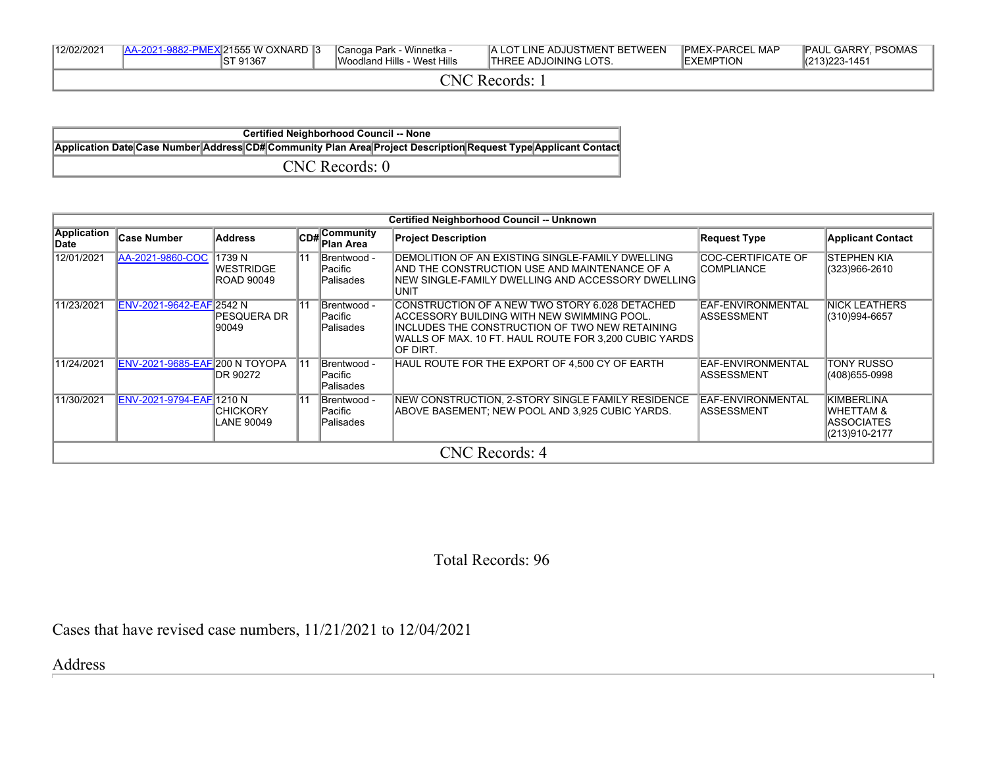| 12/02/2021<br>121555 W OXNARD 13<br>Winnetka<br>∣Canoqa Park<br>Woodland Hills -<br>Hills<br>ST 91367<br>West | " BETWEEN<br>∟ ADJUSTMEN⊤<br>$\cdot$ in $\Gamma$<br>∟INE.<br>DJOINING LOTS.<br>. HRF'<br>. | <b>IPMEX-PARCEL</b><br>∟ MAP<br>`⊏XEMPTION | . PSOMAS<br><b>PAUL</b><br><b>GARRY</b><br>$ (213)223-145$ |
|---------------------------------------------------------------------------------------------------------------|--------------------------------------------------------------------------------------------|--------------------------------------------|------------------------------------------------------------|
|---------------------------------------------------------------------------------------------------------------|--------------------------------------------------------------------------------------------|--------------------------------------------|------------------------------------------------------------|

CNC Records: 1

**Certified Neighborhood Council -- None Application Date Case Number Address CD# Community Plan Area Project Description Request Type Applicant Contact** CNC Records: 0

|                     | <b>Certified Neighborhood Council -- Unknown</b> |                                       |                 |                                           |                                                                                                                                                                                                                        |                                                 |                                                                                 |  |  |
|---------------------|--------------------------------------------------|---------------------------------------|-----------------|-------------------------------------------|------------------------------------------------------------------------------------------------------------------------------------------------------------------------------------------------------------------------|-------------------------------------------------|---------------------------------------------------------------------------------|--|--|
| Application<br>Date | <b>Case Number</b>                               | <b>Address</b>                        |                 | $C$ <sub>CD#</sub> Community<br>Plan Area | <b>Project Description</b>                                                                                                                                                                                             | <b>Request Type</b>                             | <b>Applicant Contact</b>                                                        |  |  |
| 12/01/2021          | AA-2021-9860-COC 1739 N                          | <b>WESTRIDGE</b><br><b>ROAD 90049</b> | $\overline{11}$ | Brentwood -<br>lPacific<br>Palisades      | IDEMOLITION OF AN EXISTING SINGLE-FAMILY DWELLING<br>IAND THE CONSTRUCTION USE AND MAINTENANCE OF A<br>INEW SINGLE-FAMILY DWELLING AND ACCESSORY DWELLING  <br>IUNIT                                                   | <b>COC-CERTIFICATE OF</b><br><b>ICOMPLIANCE</b> | <b>STEPHEN KIA</b><br>(323)966-2610                                             |  |  |
| 11/23/2021          | ENV-2021-9642-EAF 2542 N                         | IPESOUERA DR<br>90049                 | 11              | IBrentwood -<br>lPacific<br>Palisades     | ICONSTRUCTION OF A NEW TWO STORY 6.028 DETACHED<br>ACCESSORY BUILDING WITH NEW SWIMMING POOL.<br>IINCLUDES THE CONSTRUCTION OF TWO NEW RETAINING<br>WALLS OF MAX. 10 FT. HAUL ROUTE FOR 3,200 CUBIC YARDS<br>IOF DIRT. | EAF-ENVIRONMENTAL<br><b>IASSESSMENT</b>         | <b>NICK LEATHERS</b><br>(310)994-6657                                           |  |  |
| 11/24/2021          | <b>ENV-2021-9685-EAF 200 N TOYOPA</b>            | DR 90272                              |                 | Brentwood -<br> Pacific<br>Palisades      | HAUL ROUTE FOR THE EXPORT OF 4,500 CY OF EARTH                                                                                                                                                                         | EAF-ENVIRONMENTAL<br>IASSESSMENT                | TONY RUSSO<br>(408)655-0998                                                     |  |  |
| 11/30/2021          | ENV-2021-9794-EAF 1210 N                         | <b>CHICKORY</b><br>LANE 90049         | 11              | Brentwood -<br> Pacific<br> Palisades     | NEW CONSTRUCTION, 2-STORY SINGLE FAMILY RESIDENCE<br>ABOVE BASEMENT: NEW POOL AND 3.925 CUBIC YARDS.                                                                                                                   | EAF-ENVIRONMENTAL<br><b>IASSESSMENT</b>         | <b>KIMBERLINA</b><br><b>WHETTAM &amp;</b><br><b>ASSOCIATES</b><br>(213)910-2177 |  |  |
|                     |                                                  |                                       |                 |                                           | CNC Records: 4                                                                                                                                                                                                         |                                                 |                                                                                 |  |  |

## Total Records: 96

Cases that have revised case numbers, 11/21/2021 to 12/04/2021

Address